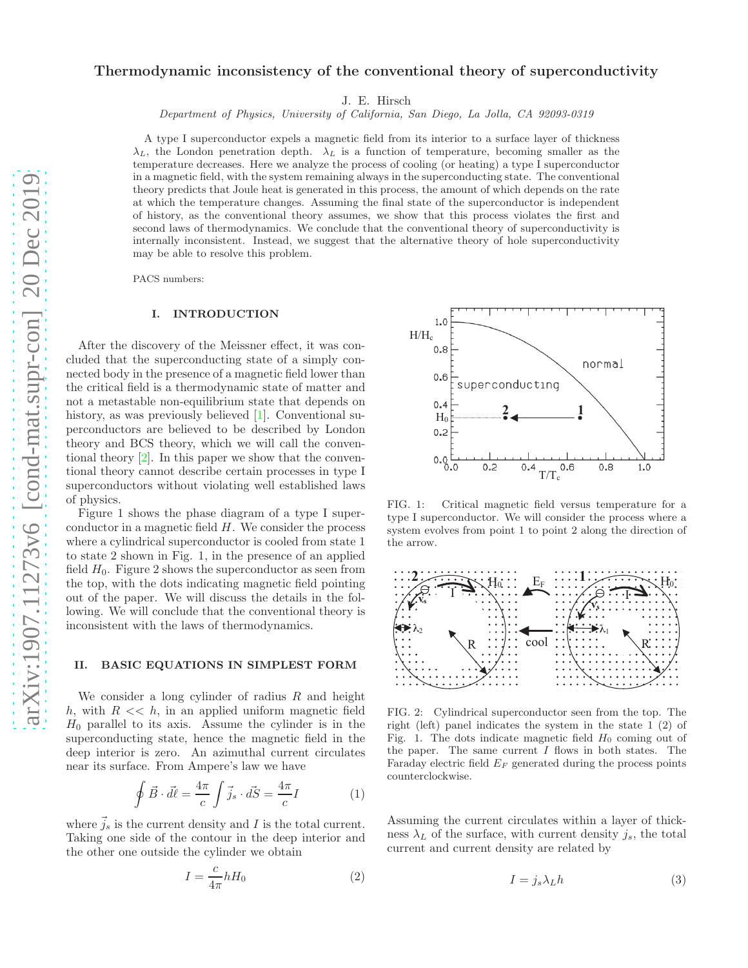# Thermodynamic inconsistency of the conventional theory of superconductivity

J. E. Hirsch

Department of Physics, University of California, San Diego, La Jolla, CA 92093-0319

A type I superconductor expels a magnetic field from its interior to a surface layer of thickness  $\lambda_L$ , the London penetration depth.  $\lambda_L$  is a function of temperature, becoming smaller as the temperature decreases. Here we analyze the process of cooling (or heating) a type I superconductor in a magnetic field, with the system remaining always in the superconducting state. The conventional theory predicts that Joule heat is generated in this process, the amount of which depends on the rate at which the temperature changes. Assuming the final state of the superconductor is independent of history, as the conventional theory assumes, we show that this process violates the first and second laws of thermodynamics. We conclude that the conventional theory of superconductivity is internally inconsistent. Instead, we suggest that the alternative theory of hole superconductivity may be able to resolve this problem.

PACS numbers:

## I. INTRODUCTION

After the discovery of the Meissner effect, it was concluded that the superconducting state of a simply connected body in the presence of a magnetic field lower than the critical field is a thermodynamic state of matter and not a metastable non-equilibrium state that depends on history, as was previously believed [\[1\]](#page-22-0). Conventional superconductors are believed to be described by London theory and BCS theory, which we will call the conventional theory [\[2\]](#page-22-1). In this paper we show that the conventional theory cannot describe certain processes in type I superconductors without violating well established laws of physics.

Figure 1 shows the phase diagram of a type I superconductor in a magnetic field  $H$ . We consider the process where a cylindrical superconductor is cooled from state 1 to state 2 shown in Fig. 1, in the presence of an applied field  $H_0$ . Figure 2 shows the superconductor as seen from the top, with the dots indicating magnetic field pointing out of the paper. We will discuss the details in the following. We will conclude that the conventional theory is inconsistent with the laws of thermodynamics.

## II. BASIC EQUATIONS IN SIMPLEST FORM

We consider a long cylinder of radius  $R$  and height h, with  $R \ll h$ , in an applied uniform magnetic field  $H_0$  parallel to its axis. Assume the cylinder is in the superconducting state, hence the magnetic field in the deep interior is zero. An azimuthal current circulates near its surface. From Ampere's law we have

$$
\oint \vec{B} \cdot \vec{d\ell} = \frac{4\pi}{c} \int \vec{j}_s \cdot \vec{dS} = \frac{4\pi}{c} I \tag{1}
$$

where  $\vec{j}_s$  is the current density and I is the total current. Taking one side of the contour in the deep interior and the other one outside the cylinder we obtain

$$
I = \frac{c}{4\pi} h H_0 \tag{2}
$$



FIG. 1: Critical magnetic field versus temperature for a type I superconductor. We will consider the process where a system evolves from point 1 to point 2 along the direction of the arrow.



FIG. 2: Cylindrical superconductor seen from the top. The right (left) panel indicates the system in the state 1 (2) of Fig. 1. The dots indicate magnetic field  $H_0$  coming out of the paper. The same current  $I$  flows in both states. The Faraday electric field  $E_F$  generated during the process points counterclockwise.

Assuming the current circulates within a layer of thickness  $\lambda_L$  of the surface, with current density  $j_s$ , the total current and current density are related by

$$
I = j_s \lambda_L h \tag{3}
$$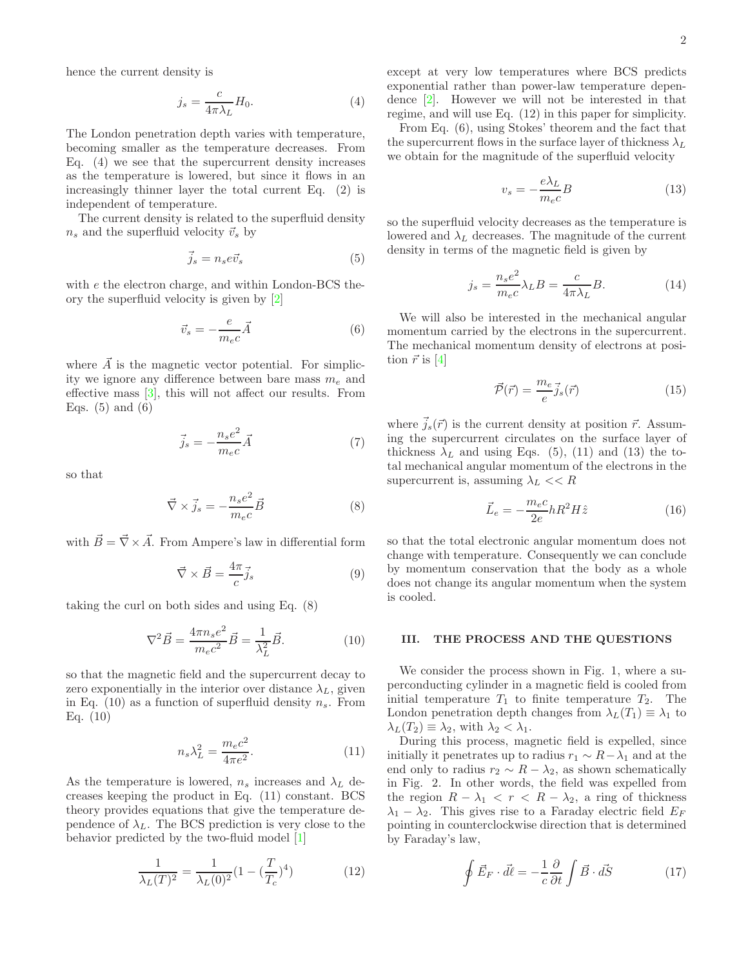hence the current density is

$$
j_s = \frac{c}{4\pi\lambda_L} H_0.
$$
\n(4)

The London penetration depth varies with temperature, becoming smaller as the temperature decreases. From Eq. (4) we see that the supercurrent density increases as the temperature is lowered, but since it flows in an increasingly thinner layer the total current Eq. (2) is independent of temperature.

The current density is related to the superfluid density  $n_s$  and the superfluid velocity  $\vec{v}_s$  by

$$
\vec{j}_s = n_s e \vec{v}_s \tag{5}
$$

with e the electron charge, and within London-BCS theory the superfluid velocity is given by [\[2](#page-22-1)]

$$
\vec{v}_s = -\frac{e}{m_e c} \vec{A} \tag{6}
$$

where  $\overrightarrow{A}$  is the magnetic vector potential. For simplicity we ignore any difference between bare mass  $m_e$  and effective mass [\[3\]](#page-22-2), this will not affect our results. From Eqs.  $(5)$  and  $(6)$ 

$$
\vec{j}_s = -\frac{n_s e^2}{m_e c} \vec{A} \tag{7}
$$

so that

$$
\vec{\nabla} \times \vec{j}_s = -\frac{n_s e^2}{m_e c} \vec{B}
$$
 (8)

with  $\vec{B} = \vec{\nabla} \times \vec{A}$ . From Ampere's law in differential form

$$
\vec{\nabla} \times \vec{B} = \frac{4\pi}{c} \vec{j}_s \tag{9}
$$

taking the curl on both sides and using Eq. (8)

$$
\nabla^2 \vec{B} = \frac{4\pi n_s e^2}{m_e c^2} \vec{B} = \frac{1}{\lambda_L^2} \vec{B}.
$$
 (10)

so that the magnetic field and the supercurrent decay to zero exponentially in the interior over distance  $\lambda_L$ , given in Eq. (10) as a function of superfluid density  $n_s$ . From Eq. (10)

$$
n_s \lambda_L^2 = \frac{m_e c^2}{4\pi e^2}.
$$
\n(11)

As the temperature is lowered,  $n_s$  increases and  $\lambda_L$  decreases keeping the product in Eq. (11) constant. BCS theory provides equations that give the temperature dependence of  $\lambda_L$ . The BCS prediction is very close to the behavior predicted by the two-fluid model [\[1](#page-22-0)]

$$
\frac{1}{\lambda_L(T)^2} = \frac{1}{\lambda_L(0)^2} (1 - (\frac{T}{T_c})^4)
$$
 (12)

except at very low temperatures where BCS predicts exponential rather than power-law temperature dependence [\[2](#page-22-1)]. However we will not be interested in that regime, and will use Eq. (12) in this paper for simplicity.

From Eq. (6), using Stokes' theorem and the fact that the supercurrent flows in the surface layer of thickness  $\lambda_L$ we obtain for the magnitude of the superfluid velocity

$$
v_s = -\frac{e\lambda_L}{m_e c}B\tag{13}
$$

so the superfluid velocity decreases as the temperature is lowered and  $\lambda_L$  decreases. The magnitude of the current density in terms of the magnetic field is given by

$$
j_s = \frac{n_s e^2}{m_e c} \lambda_L B = \frac{c}{4\pi\lambda_L} B.
$$
 (14)

We will also be interested in the mechanical angular momentum carried by the electrons in the supercurrent. The mechanical momentum density of electrons at position  $\vec{r}$  is [\[4](#page-22-3)]

$$
\vec{\mathcal{P}}(\vec{r}) = \frac{m_e}{e} \vec{j}_s(\vec{r}) \tag{15}
$$

where  $\vec{j}_s(\vec{r})$  is the current density at position  $\vec{r}$ . Assuming the supercurrent circulates on the surface layer of thickness  $\lambda_L$  and using Eqs. (5), (11) and (13) the total mechanical angular momentum of the electrons in the supercurrent is, assuming  $\lambda_L \ll R$ 

$$
\vec{L}_e = -\frac{m_e c}{2e} hR^2 H \hat{z}
$$
\n(16)

so that the total electronic angular momentum does not change with temperature. Consequently we can conclude by momentum conservation that the body as a whole does not change its angular momentum when the system is cooled.

## III. THE PROCESS AND THE QUESTIONS

We consider the process shown in Fig. 1, where a superconducting cylinder in a magnetic field is cooled from initial temperature  $T_1$  to finite temperature  $T_2$ . The London penetration depth changes from  $\lambda_L(T_1) \equiv \lambda_1$  to  $\lambda_L(T_2) \equiv \lambda_2$ , with  $\lambda_2 < \lambda_1$ .

During this process, magnetic field is expelled, since initially it penetrates up to radius  $r_1 \sim R-\lambda_1$  and at the end only to radius  $r_2 \sim R - \lambda_2$ , as shown schematically in Fig. 2. In other words, the field was expelled from the region  $R - \lambda_1 < r < R - \lambda_2$ , a ring of thickness  $\lambda_1 - \lambda_2$ . This gives rise to a Faraday electric field  $E_F$ pointing in counterclockwise direction that is determined by Faraday's law,

$$
\oint \vec{E}_F \cdot \vec{d\ell} = -\frac{1}{c} \frac{\partial}{\partial t} \int \vec{B} \cdot \vec{dS} \tag{17}
$$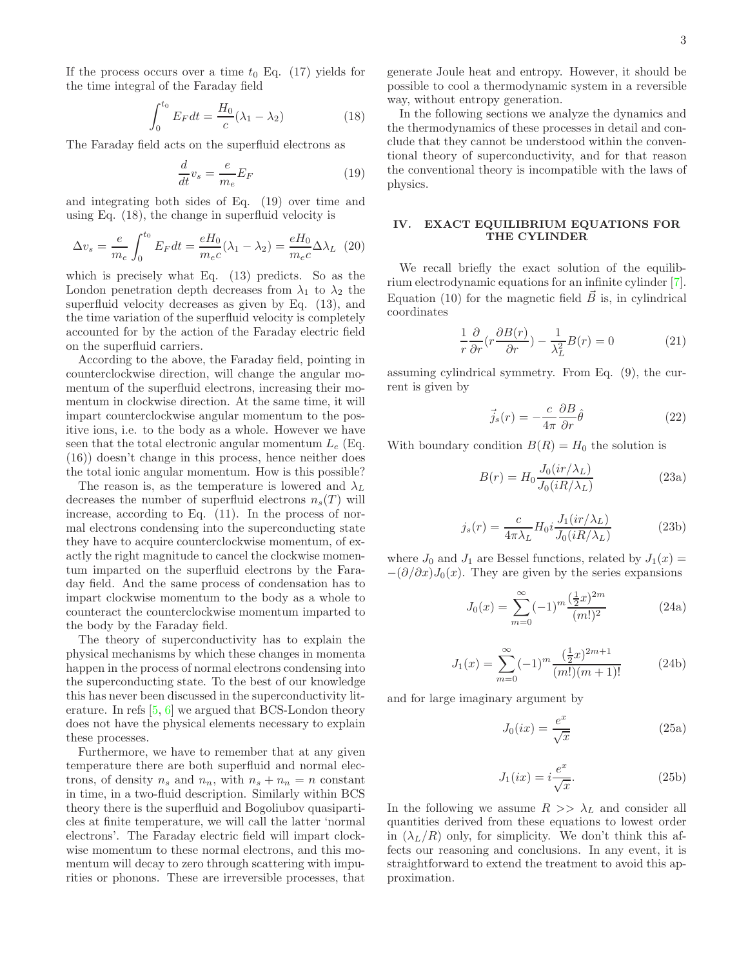If the process occurs over a time  $t_0$  Eq. (17) yields for the time integral of the Faraday field

$$
\int_{0}^{t_{0}} E_{F} dt = \frac{H_{0}}{c} (\lambda_{1} - \lambda_{2})
$$
\n(18)

The Faraday field acts on the superfluid electrons as

$$
\frac{d}{dt}v_s = \frac{e}{m_e}E_F\tag{19}
$$

and integrating both sides of Eq. (19) over time and using Eq. (18), the change in superfluid velocity is

$$
\Delta v_s = \frac{e}{m_e} \int_0^{t_0} E_F dt = \frac{eH_0}{m_e c} (\lambda_1 - \lambda_2) = \frac{eH_0}{m_e c} \Delta \lambda_L \tag{20}
$$

which is precisely what Eq. (13) predicts. So as the London penetration depth decreases from  $\lambda_1$  to  $\lambda_2$  the superfluid velocity decreases as given by Eq. (13), and the time variation of the superfluid velocity is completely accounted for by the action of the Faraday electric field on the superfluid carriers.

According to the above, the Faraday field, pointing in counterclockwise direction, will change the angular momentum of the superfluid electrons, increasing their momentum in clockwise direction. At the same time, it will impart counterclockwise angular momentum to the positive ions, i.e. to the body as a whole. However we have seen that the total electronic angular momentum  $L_e$  (Eq. (16)) doesn't change in this process, hence neither does the total ionic angular momentum. How is this possible?

The reason is, as the temperature is lowered and  $\lambda_L$ decreases the number of superfluid electrons  $n_s(T)$  will increase, according to Eq. (11). In the process of normal electrons condensing into the superconducting state they have to acquire counterclockwise momentum, of exactly the right magnitude to cancel the clockwise momentum imparted on the superfluid electrons by the Faraday field. And the same process of condensation has to impart clockwise momentum to the body as a whole to counteract the counterclockwise momentum imparted to the body by the Faraday field.

The theory of superconductivity has to explain the physical mechanisms by which these changes in momenta happen in the process of normal electrons condensing into the superconducting state. To the best of our knowledge this has never been discussed in the superconductivity literature. In refs [\[5,](#page-22-4) [6](#page-22-5)] we argued that BCS-London theory does not have the physical elements necessary to explain these processes.

Furthermore, we have to remember that at any given temperature there are both superfluid and normal electrons, of density  $n_s$  and  $n_n$ , with  $n_s + n_n = n$  constant in time, in a two-fluid description. Similarly within BCS theory there is the superfluid and Bogoliubov quasiparticles at finite temperature, we will call the latter 'normal electrons'. The Faraday electric field will impart clockwise momentum to these normal electrons, and this momentum will decay to zero through scattering with impurities or phonons. These are irreversible processes, that

generate Joule heat and entropy. However, it should be possible to cool a thermodynamic system in a reversible way, without entropy generation.

In the following sections we analyze the dynamics and the thermodynamics of these processes in detail and conclude that they cannot be understood within the conventional theory of superconductivity, and for that reason the conventional theory is incompatible with the laws of physics.

## IV. EXACT EQUILIBRIUM EQUATIONS FOR THE CYLINDER

We recall briefly the exact solution of the equilibrium electrodynamic equations for an infinite cylinder [\[7\]](#page-22-6). Equation (10) for the magnetic field  $\vec{B}$  is, in cylindrical coordinates

$$
\frac{1}{r}\frac{\partial}{\partial r}(r\frac{\partial B(r)}{\partial r}) - \frac{1}{\lambda_L^2}B(r) = 0\tag{21}
$$

assuming cylindrical symmetry. From Eq. (9), the current is given by

$$
\vec{j}_s(r) = -\frac{c}{4\pi} \frac{\partial B}{\partial r} \hat{\theta}
$$
 (22)

With boundary condition  $B(R) = H_0$  the solution is

$$
B(r) = H_0 \frac{J_0(ir/\lambda_L)}{J_0(iR/\lambda_L)}
$$
\n(23a)

$$
j_s(r) = \frac{c}{4\pi\lambda_L} H_0 i \frac{J_1(ir/\lambda_L)}{J_0(iR/\lambda_L)}
$$
(23b)

where  $J_0$  and  $J_1$  are Bessel functions, related by  $J_1(x)$  $-(\partial/\partial x)J_0(x)$ . They are given by the series expansions

$$
J_0(x) = \sum_{m=0}^{\infty} (-1)^m \frac{\left(\frac{1}{2}x\right)^{2m}}{(m!)^2}
$$
 (24a)

$$
J_1(x) = \sum_{m=0}^{\infty} (-1)^m \frac{\left(\frac{1}{2}x\right)^{2m+1}}{(m!)(m+1)!}
$$
 (24b)

and for large imaginary argument by

$$
J_0(ix) = \frac{e^x}{\sqrt{x}}\tag{25a}
$$

$$
J_1(ix) = i\frac{e^x}{\sqrt{x}}.\t(25b)
$$

In the following we assume  $R \gg \lambda_L$  and consider all quantities derived from these equations to lowest order in  $(\lambda_L/R)$  only, for simplicity. We don't think this affects our reasoning and conclusions. In any event, it is straightforward to extend the treatment to avoid this approximation.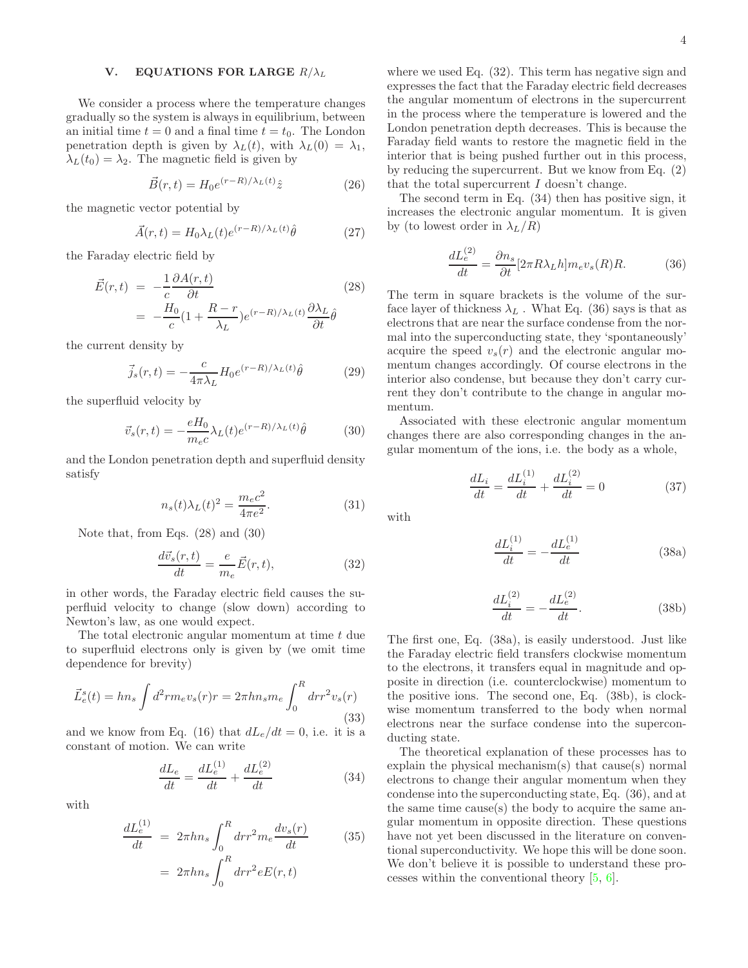# V. EQUATIONS FOR LARGE  $R/\lambda_L$

We consider a process where the temperature changes gradually so the system is always in equilibrium, between an initial time  $t = 0$  and a final time  $t = t_0$ . The London penetration depth is given by  $\lambda_L(t)$ , with  $\lambda_L(0) = \lambda_1$ ,  $\lambda_L(t_0) = \lambda_2$ . The magnetic field is given by

$$
\vec{B}(r,t) = H_0 e^{(r-R)/\lambda_L(t)} \hat{z}
$$
\n(26)

the magnetic vector potential by

$$
\vec{A}(r,t) = H_0 \lambda_L(t) e^{(r-R)/\lambda_L(t)} \hat{\theta}
$$
 (27)

the Faraday electric field by

$$
\vec{E}(r,t) = -\frac{1}{c} \frac{\partial A(r,t)}{\partial t} \tag{28}
$$
\n
$$
= -\frac{H_0}{c} (1 + \frac{R-r}{\lambda_L}) e^{(r-R)/\lambda_L(t)} \frac{\partial \lambda_L}{\partial t} \hat{\theta}
$$

the current density by

$$
\vec{j}_s(r,t) = -\frac{c}{4\pi\lambda_L} H_0 e^{(r-R)/\lambda_L(t)} \hat{\theta}
$$
 (29)

the superfluid velocity by

$$
\vec{v}_s(r,t) = -\frac{eH_0}{m_e c} \lambda_L(t) e^{(r-R)/\lambda_L(t)} \hat{\theta}
$$
 (30)

and the London penetration depth and superfluid density satisfy

$$
n_s(t)\lambda_L(t)^2 = \frac{m_e c^2}{4\pi e^2}.
$$
 (31)

Note that, from Eqs. (28) and (30)

$$
\frac{d\vec{v}_s(r,t)}{dt} = \frac{e}{m_e}\vec{E}(r,t),\tag{32}
$$

in other words, the Faraday electric field causes the superfluid velocity to change (slow down) according to Newton's law, as one would expect.

The total electronic angular momentum at time t due to superfluid electrons only is given by (we omit time dependence for brevity)

$$
\vec{L}_e^s(t) = h n_s \int d^2 r m_e v_s(r) r = 2\pi h n_s m_e \int_0^R dr r^2 v_s(r)
$$
\n(33)

and we know from Eq. (16) that  $dL_e/dt = 0$ , i.e. it is a constant of motion. We can write

$$
\frac{dL_e}{dt} = \frac{dL_e^{(1)}}{dt} + \frac{dL_e^{(2)}}{dt}
$$
\n(34)

with

$$
\frac{dL_e^{(1)}}{dt} = 2\pi h n_s \int_0^R dr r^2 m_e \frac{dv_s(r)}{dt}
$$
\n
$$
= 2\pi h n_s \int_0^R dr r^2 eE(r, t)
$$
\n(35)

where we used Eq. (32). This term has negative sign and expresses the fact that the Faraday electric field decreases the angular momentum of electrons in the supercurrent in the process where the temperature is lowered and the London penetration depth decreases. This is because the Faraday field wants to restore the magnetic field in the interior that is being pushed further out in this process, by reducing the supercurrent. But we know from Eq. (2) that the total supercurrent  $I$  doesn't change.

The second term in Eq. (34) then has positive sign, it increases the electronic angular momentum. It is given by (to lowest order in  $\lambda_L/R$ )

$$
\frac{dL_e^{(2)}}{dt} = \frac{\partial n_s}{\partial t} [2\pi R \lambda_L h] m_e v_s(R) R. \tag{36}
$$

The term in square brackets is the volume of the surface layer of thickness  $\lambda_L$ . What Eq. (36) says is that as electrons that are near the surface condense from the normal into the superconducting state, they 'spontaneously' acquire the speed  $v_s(r)$  and the electronic angular momentum changes accordingly. Of course electrons in the interior also condense, but because they don't carry current they don't contribute to the change in angular momentum.

Associated with these electronic angular momentum changes there are also corresponding changes in the angular momentum of the ions, i.e. the body as a whole,

$$
\frac{dL_i}{dt} = \frac{dL_i^{(1)}}{dt} + \frac{dL_i^{(2)}}{dt} = 0\tag{37}
$$

with

$$
\frac{dL_i^{(1)}}{dt} = -\frac{dL_e^{(1)}}{dt}
$$
 (38a)

$$
\frac{dL_i^{(2)}}{dt} = -\frac{dL_e^{(2)}}{dt}.
$$
\n(38b)

The first one, Eq. (38a), is easily understood. Just like the Faraday electric field transfers clockwise momentum to the electrons, it transfers equal in magnitude and opposite in direction (i.e. counterclockwise) momentum to the positive ions. The second one, Eq. (38b), is clockwise momentum transferred to the body when normal electrons near the surface condense into the superconducting state.

The theoretical explanation of these processes has to explain the physical mechanism(s) that cause(s) normal electrons to change their angular momentum when they condense into the superconducting state, Eq. (36), and at the same time cause(s) the body to acquire the same angular momentum in opposite direction. These questions have not yet been discussed in the literature on conventional superconductivity. We hope this will be done soon. We don't believe it is possible to understand these processes within the conventional theory [\[5](#page-22-4), [6](#page-22-5)].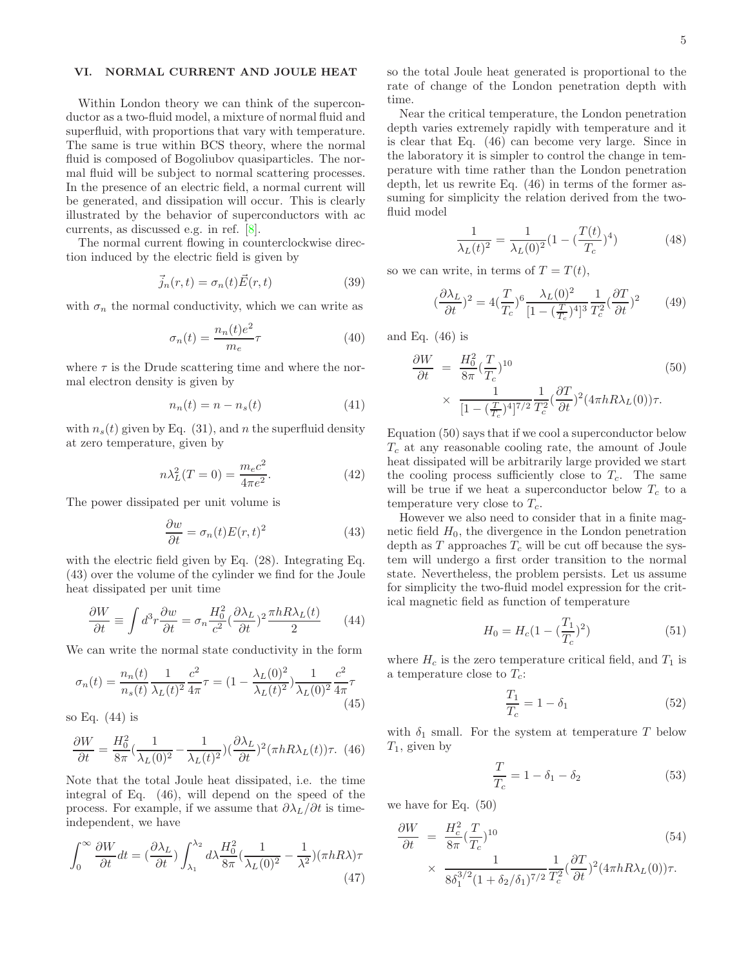# VI. NORMAL CURRENT AND JOULE HEAT

Within London theory we can think of the superconductor as a two-fluid model, a mixture of normal fluid and superfluid, with proportions that vary with temperature. The same is true within BCS theory, where the normal fluid is composed of Bogoliubov quasiparticles. The normal fluid will be subject to normal scattering processes. In the presence of an electric field, a normal current will be generated, and dissipation will occur. This is clearly illustrated by the behavior of superconductors with ac currents, as discussed e.g. in ref. [\[8](#page-22-7)].

The normal current flowing in counterclockwise direction induced by the electric field is given by

$$
\vec{j}_n(r,t) = \sigma_n(t)\vec{E}(r,t)
$$
\n(39)

with  $\sigma_n$  the normal conductivity, which we can write as

$$
\sigma_n(t) = \frac{n_n(t)e^2}{m_e}\tau\tag{40}
$$

where  $\tau$  is the Drude scattering time and where the normal electron density is given by

$$
n_n(t) = n - n_s(t) \tag{41}
$$

with  $n_s(t)$  given by Eq. (31), and n the superfluid density at zero temperature, given by

$$
n\lambda_L^2(T=0) = \frac{m_e c^2}{4\pi e^2}.
$$
 (42)

The power dissipated per unit volume is

$$
\frac{\partial w}{\partial t} = \sigma_n(t)E(r,t)^2\tag{43}
$$

with the electric field given by Eq. (28). Integrating Eq. (43) over the volume of the cylinder we find for the Joule heat dissipated per unit time

$$
\frac{\partial W}{\partial t} \equiv \int d^3 r \frac{\partial w}{\partial t} = \sigma_n \frac{H_0^2}{c^2} (\frac{\partial \lambda_L}{\partial t})^2 \frac{\pi h R \lambda_L(t)}{2} \tag{44}
$$

We can write the normal state conductivity in the form

$$
\sigma_n(t) = \frac{n_n(t)}{n_s(t)} \frac{1}{\lambda_L(t)^2} \frac{c^2}{4\pi} \tau = (1 - \frac{\lambda_L(0)^2}{\lambda_L(t)^2}) \frac{1}{\lambda_L(0)^2} \frac{c^2}{4\pi} \tau
$$
\n(45)

so Eq. (44) is

$$
\frac{\partial W}{\partial t} = \frac{H_0^2}{8\pi} \left(\frac{1}{\lambda_L(0)^2} - \frac{1}{\lambda_L(t)^2}\right) \left(\frac{\partial \lambda_L}{\partial t}\right)^2 (\pi h R \lambda_L(t)) \tau. \tag{46}
$$

Note that the total Joule heat dissipated, i.e. the time integral of Eq. (46), will depend on the speed of the process. For example, if we assume that  $\partial \lambda_L/\partial t$  is timeindependent, we have

$$
\int_0^\infty \frac{\partial W}{\partial t} dt = \left(\frac{\partial \lambda_L}{\partial t}\right) \int_{\lambda_1}^{\lambda_2} d\lambda \frac{H_0^2}{8\pi} \left(\frac{1}{\lambda_L(0)^2} - \frac{1}{\lambda^2}\right) (\pi h R \lambda) \tau
$$
\n(47)

so the total Joule heat generated is proportional to the rate of change of the London penetration depth with time.

Near the critical temperature, the London penetration depth varies extremely rapidly with temperature and it is clear that Eq. (46) can become very large. Since in the laboratory it is simpler to control the change in temperature with time rather than the London penetration depth, let us rewrite Eq. (46) in terms of the former assuming for simplicity the relation derived from the twofluid model

$$
\frac{1}{\lambda_L(t)^2} = \frac{1}{\lambda_L(0)^2} (1 - (\frac{T(t)}{T_c})^4)
$$
(48)

so we can write, in terms of  $T = T(t)$ ,

$$
\left(\frac{\partial \lambda_L}{\partial t}\right)^2 = 4\left(\frac{T}{T_c}\right)^6 \frac{\lambda_L(0)^2}{\left[1 - \left(\frac{T}{T_c}\right)^4\right]^3} \frac{1}{T_c^2} \left(\frac{\partial T}{\partial t}\right)^2 \tag{49}
$$

and Eq.  $(46)$  is

$$
\frac{\partial W}{\partial t} = \frac{H_0^2}{8\pi} \left(\frac{T}{T_c}\right)^{10} \times \frac{1}{\left[1 - \left(\frac{T}{T_c}\right)^4\right]^{7/2}} \frac{1}{T_c^2} \left(\frac{\partial T}{\partial t}\right)^2 (4\pi h R \lambda_L(0)) \tau.
$$
\n(50)

Equation (50) says that if we cool a superconductor below  $T_c$  at any reasonable cooling rate, the amount of Joule heat dissipated will be arbitrarily large provided we start the cooling process sufficiently close to  $T_c$ . The same will be true if we heat a superconductor below  $T_c$  to a temperature very close to  $T_c$ .

However we also need to consider that in a finite magnetic field  $H_0$ , the divergence in the London penetration depth as  $T$  approaches  $T_c$  will be cut off because the system will undergo a first order transition to the normal state. Nevertheless, the problem persists. Let us assume for simplicity the two-fluid model expression for the critical magnetic field as function of temperature

$$
H_0 = H_c \left(1 - \left(\frac{T_1}{T_c}\right)^2\right) \tag{51}
$$

where  $H_c$  is the zero temperature critical field, and  $T_1$  is a temperature close to  $T_c$ :

$$
\frac{T_1}{T_c} = 1 - \delta_1 \tag{52}
$$

with  $\delta_1$  small. For the system at temperature T below  $T_1$ , given by

$$
\frac{T}{T_c} = 1 - \delta_1 - \delta_2 \tag{53}
$$

we have for Eq. (50)

$$
\frac{\partial W}{\partial t} = \frac{H_c^2}{8\pi} (\frac{T}{T_c})^{10} \qquad (54)
$$

$$
\times \frac{1}{8\delta_1^{3/2} (1 + \delta_2/\delta_1)^{7/2}} \frac{1}{T_c^2} (\frac{\partial T}{\partial t})^2 (4\pi h R \lambda_L(0)) \tau.
$$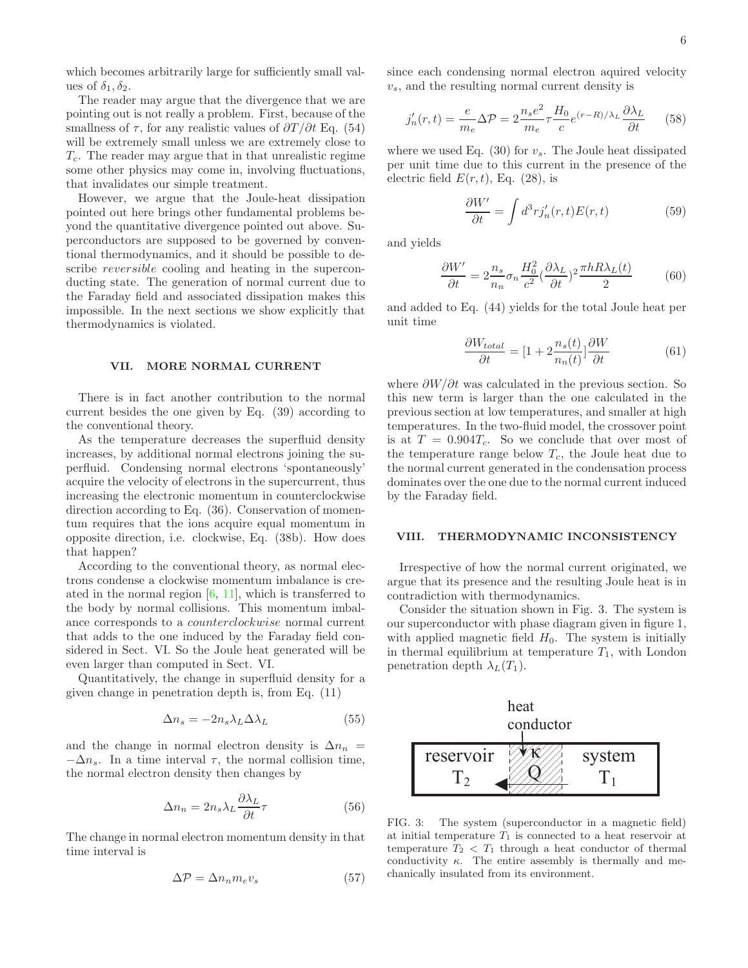which becomes arbitrarily large for sufficiently small values of  $\delta_1, \delta_2$ .

The reader may argue that the divergence that we are pointing out is not really a problem. First, because of the smallness of  $\tau$ , for any realistic values of  $\partial T/\partial t$  Eq. (54) will be extremely small unless we are extremely close to  $T_c$ . The reader may argue that in that unrealistic regime some other physics may come in, involving fluctuations, that invalidates our simple treatment.

However, we argue that the Joule-heat dissipation pointed out here brings other fundamental problems beyond the quantitative divergence pointed out above. Superconductors are supposed to be governed by conventional thermodynamics, and it should be possible to describe reversible cooling and heating in the superconducting state. The generation of normal current due to the Faraday field and associated dissipation makes this impossible. In the next sections we show explicitly that thermodynamics is violated.

#### VII. MORE NORMAL CURRENT

There is in fact another contribution to the normal current besides the one given by Eq. (39) according to the conventional theory.

As the temperature decreases the superfluid density increases, by additional normal electrons joining the superfluid. Condensing normal electrons 'spontaneously' acquire the velocity of electrons in the supercurrent, thus increasing the electronic momentum in counterclockwise direction according to Eq. (36). Conservation of momentum requires that the ions acquire equal momentum in opposite direction, i.e. clockwise, Eq. (38b). How does that happen?

According to the conventional theory, as normal electrons condense a clockwise momentum imbalance is created in the normal region  $[6, 11]$  $[6, 11]$  $[6, 11]$ , which is transferred to the body by normal collisions. This momentum imbalance corresponds to a counterclockwise normal current that adds to the one induced by the Faraday field considered in Sect. VI. So the Joule heat generated will be even larger than computed in Sect. VI.

Quantitatively, the change in superfluid density for a given change in penetration depth is, from Eq. (11)

$$
\Delta n_s = -2n_s \lambda_L \Delta \lambda_L \tag{55}
$$

and the change in normal electron density is  $\Delta n_n$  =  $-\Delta n_s$ . In a time interval  $\tau$ , the normal collision time, the normal electron density then changes by

$$
\Delta n_n = 2n_s \lambda_L \frac{\partial \lambda_L}{\partial t} \tau \tag{56}
$$

The change in normal electron momentum density in that time interval is

$$
\Delta \mathcal{P} = \Delta n_n m_e v_s \tag{57}
$$

since each condensing normal electron aquired velocity  $v<sub>s</sub>$ , and the resulting normal current density is

$$
j_n'(r,t) = \frac{e}{m_e} \Delta \mathcal{P} = 2 \frac{n_s e^2}{m_e} \tau \frac{H_0}{c} e^{(r-R)/\lambda_L} \frac{\partial \lambda_L}{\partial t} \qquad (58)
$$

where we used Eq. (30) for  $v_s$ . The Joule heat dissipated per unit time due to this current in the presence of the electric field  $E(r, t)$ , Eq. (28), is

$$
\frac{\partial W'}{\partial t} = \int d^3r j_n'(r, t) E(r, t)
$$
\n(59)

and yields

$$
\frac{\partial W'}{\partial t} = 2 \frac{n_s}{n_n} \sigma_n \frac{H_0^2}{c^2} (\frac{\partial \lambda_L}{\partial t})^2 \frac{\pi h R \lambda_L(t)}{2}
$$
(60)

and added to Eq. (44) yields for the total Joule heat per unit time

$$
\frac{\partial W_{total}}{\partial t} = [1 + 2\frac{n_s(t)}{n_n(t)}]\frac{\partial W}{\partial t}
$$
(61)

where  $\partial W/\partial t$  was calculated in the previous section. So this new term is larger than the one calculated in the previous section at low temperatures, and smaller at high temperatures. In the two-fluid model, the crossover point is at  $T = 0.904T_c$ . So we conclude that over most of the temperature range below  $T_c$ , the Joule heat due to the normal current generated in the condensation process dominates over the one due to the normal current induced by the Faraday field.

## VIII. THERMODYNAMIC INCONSISTENCY

Irrespective of how the normal current originated, we argue that its presence and the resulting Joule heat is in contradiction with thermodynamics.

Consider the situation shown in Fig. 3. The system is our superconductor with phase diagram given in figure 1, with applied magnetic field  $H_0$ . The system is initially in thermal equilibrium at temperature  $T_1$ , with London penetration depth  $\lambda_L(T_1)$ .



FIG. 3: The system (superconductor in a magnetic field) at initial temperature  $T_1$  is connected to a heat reservoir at temperature  $T_2 \leq T_1$  through a heat conductor of thermal conductivity  $\kappa$ . The entire assembly is thermally and mechanically insulated from its environment.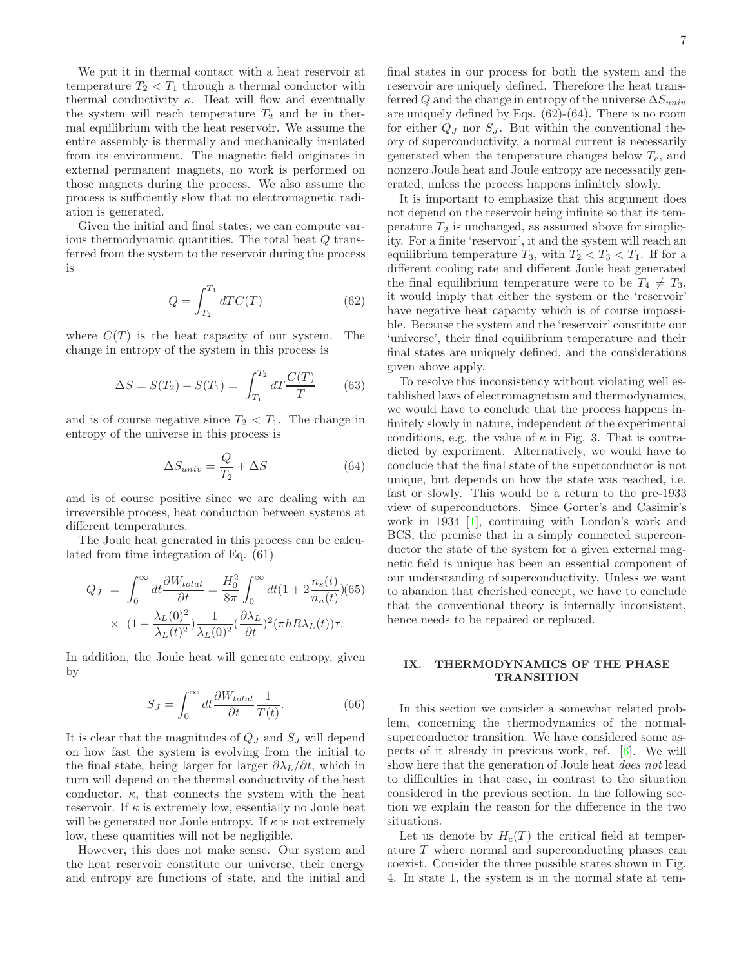We put it in thermal contact with a heat reservoir at temperature  $T_2 < T_1$  through a thermal conductor with thermal conductivity  $\kappa$ . Heat will flow and eventually the system will reach temperature  $T_2$  and be in thermal equilibrium with the heat reservoir. We assume the entire assembly is thermally and mechanically insulated from its environment. The magnetic field originates in external permanent magnets, no work is performed on those magnets during the process. We also assume the process is sufficiently slow that no electromagnetic radiation is generated.

Given the initial and final states, we can compute various thermodynamic quantities. The total heat Q transferred from the system to the reservoir during the process is

$$
Q = \int_{T_2}^{T_1} dTC(T) \tag{62}
$$

where  $C(T)$  is the heat capacity of our system. The change in entropy of the system in this process is

$$
\Delta S = S(T_2) - S(T_1) = \int_{T_1}^{T_2} dT \frac{C(T)}{T}
$$
 (63)

and is of course negative since  $T_2 < T_1$ . The change in entropy of the universe in this process is

$$
\Delta S_{univ} = \frac{Q}{T_2} + \Delta S \tag{64}
$$

and is of course positive since we are dealing with an irreversible process, heat conduction between systems at different temperatures.

The Joule heat generated in this process can be calculated from time integration of Eq. (61)

$$
Q_J = \int_0^\infty dt \frac{\partial W_{total}}{\partial t} = \frac{H_0^2}{8\pi} \int_0^\infty dt (1 + 2\frac{n_s(t)}{n_n(t)})(65)
$$

$$
\times \ (1 - \frac{\lambda_L(0)^2}{\lambda_L(t)^2}) \frac{1}{\lambda_L(0)^2} (\frac{\partial \lambda_L}{\partial t})^2 (\pi h R \lambda_L(t)) \tau.
$$

In addition, the Joule heat will generate entropy, given by

$$
S_J = \int_0^\infty dt \frac{\partial W_{total}}{\partial t} \frac{1}{T(t)}.\tag{66}
$$

It is clear that the magnitudes of  $Q_J$  and  $S_J$  will depend on how fast the system is evolving from the initial to the final state, being larger for larger  $\partial \lambda_L/\partial t$ , which in turn will depend on the thermal conductivity of the heat conductor,  $\kappa$ , that connects the system with the heat reservoir. If  $\kappa$  is extremely low, essentially no Joule heat will be generated nor Joule entropy. If  $\kappa$  is not extremely low, these quantities will not be negligible.

However, this does not make sense. Our system and the heat reservoir constitute our universe, their energy and entropy are functions of state, and the initial and

final states in our process for both the system and the reservoir are uniquely defined. Therefore the heat transferred Q and the change in entropy of the universe  $\Delta S_{univ}$ are uniquely defined by Eqs.  $(62)-(64)$ . There is no room for either  $Q_J$  nor  $S_J$ . But within the conventional theory of superconductivity, a normal current is necessarily generated when the temperature changes below  $T_c$ , and nonzero Joule heat and Joule entropy are necessarily generated, unless the process happens infinitely slowly.

It is important to emphasize that this argument does not depend on the reservoir being infinite so that its temperature  $T_2$  is unchanged, as assumed above for simplicity. For a finite 'reservoir', it and the system will reach an equilibrium temperature  $T_3$ , with  $T_2 < T_3 < T_1$ . If for a different cooling rate and different Joule heat generated the final equilibrium temperature were to be  $T_4 \neq T_3$ , it would imply that either the system or the 'reservoir' have negative heat capacity which is of course impossible. Because the system and the 'reservoir' constitute our 'universe', their final equilibrium temperature and their final states are uniquely defined, and the considerations given above apply.

To resolve this inconsistency without violating well established laws of electromagnetism and thermodynamics, we would have to conclude that the process happens infinitely slowly in nature, independent of the experimental conditions, e.g. the value of  $\kappa$  in Fig. 3. That is contradicted by experiment. Alternatively, we would have to conclude that the final state of the superconductor is not unique, but depends on how the state was reached, i.e. fast or slowly. This would be a return to the pre-1933 view of superconductors. Since Gorter's and Casimir's work in 1934 [\[1](#page-22-0)], continuing with London's work and BCS, the premise that in a simply connected superconductor the state of the system for a given external magnetic field is unique has been an essential component of our understanding of superconductivity. Unless we want to abandon that cherished concept, we have to conclude that the conventional theory is internally inconsistent, hence needs to be repaired or replaced.

# IX. THERMODYNAMICS OF THE PHASE **TRANSITION**

In this section we consider a somewhat related problem, concerning the thermodynamics of the normalsuperconductor transition. We have considered some aspects of it already in previous work, ref. [\[6](#page-22-5)]. We will show here that the generation of Joule heat does not lead to difficulties in that case, in contrast to the situation considered in the previous section. In the following section we explain the reason for the difference in the two situations.

Let us denote by  $H_c(T)$  the critical field at temperature T where normal and superconducting phases can coexist. Consider the three possible states shown in Fig. 4. In state 1, the system is in the normal state at tem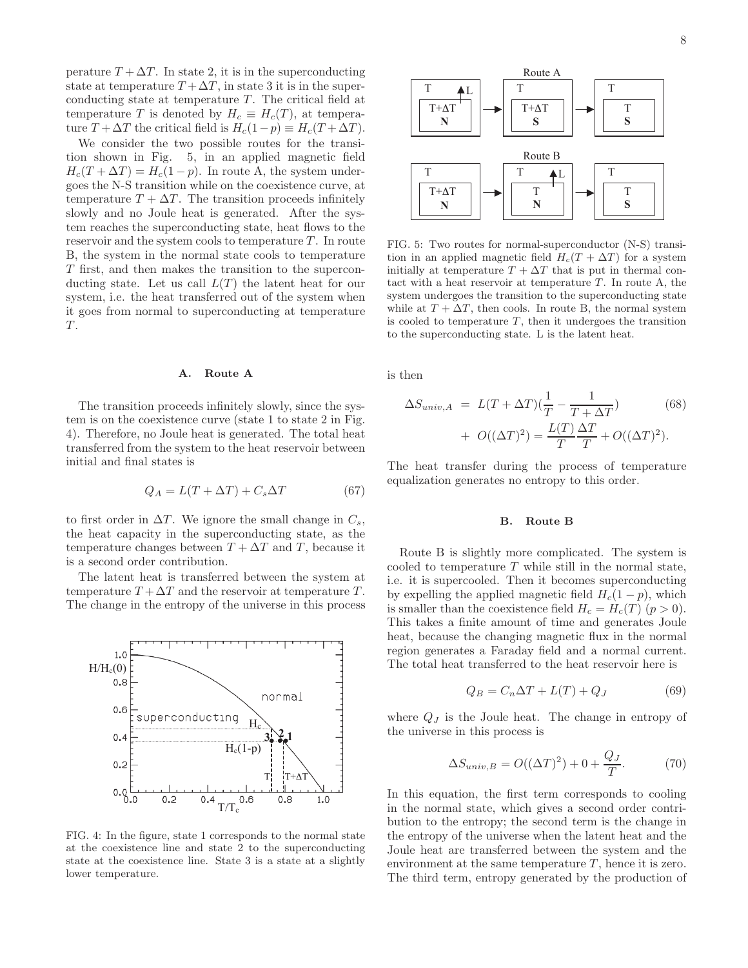perature  $T + \Delta T$ . In state 2, it is in the superconducting state at temperature  $T + \Delta T$ , in state 3 it is in the superconducting state at temperature  $T$ . The critical field at temperature T is denoted by  $H_c \equiv H_c(T)$ , at temperature  $T + \Delta T$  the critical field is  $H_c(1-p) \equiv H_c(T + \Delta T)$ .

We consider the two possible routes for the transition shown in Fig. 5, in an applied magnetic field  $H_c(T + \Delta T) = H_c(1 - p)$ . In route A, the system undergoes the N-S transition while on the coexistence curve, at temperature  $T + \Delta T$ . The transition proceeds infinitely slowly and no Joule heat is generated. After the system reaches the superconducting state, heat flows to the reservoir and the system cools to temperature  $T$ . In route B, the system in the normal state cools to temperature T first, and then makes the transition to the superconducting state. Let us call  $L(T)$  the latent heat for our system, i.e. the heat transferred out of the system when it goes from normal to superconducting at temperature  $T$ .

#### A. Route A

The transition proceeds infinitely slowly, since the system is on the coexistence curve (state 1 to state 2 in Fig. 4). Therefore, no Joule heat is generated. The total heat transferred from the system to the heat reservoir between initial and final states is

$$
Q_A = L(T + \Delta T) + C_s \Delta T \tag{67}
$$

to first order in  $\Delta T$ . We ignore the small change in  $C_s$ , the heat capacity in the superconducting state, as the temperature changes between  $T + \Delta T$  and T, because it is a second order contribution.

The latent heat is transferred between the system at temperature  $T + \Delta T$  and the reservoir at temperature T. The change in the entropy of the universe in this process



FIG. 4: In the figure, state 1 corresponds to the normal state at the coexistence line and state 2 to the superconducting state at the coexistence line. State 3 is a state at a slightly lower temperature.



FIG. 5: Two routes for normal-superconductor (N-S) transition in an applied magnetic field  $H_c(T + \Delta T)$  for a system initially at temperature  $T + \Delta T$  that is put in thermal contact with a heat reservoir at temperature  $T$ . In route A, the system undergoes the transition to the superconducting state while at  $T + \Delta T$ , then cools. In route B, the normal system is cooled to temperature  $T$ , then it undergoes the transition to the superconducting state. L is the latent heat.

is then

$$
\Delta S_{univ,A} = L(T + \Delta T)(\frac{1}{T} - \frac{1}{T + \Delta T})
$$
(68)  
+ O((\Delta T)^2) =  $\frac{L(T)}{T} \frac{\Delta T}{T} + O((\Delta T)^2)$ .

The heat transfer during the process of temperature equalization generates no entropy to this order.

### B. Route B

Route B is slightly more complicated. The system is cooled to temperature  $T$  while still in the normal state, i.e. it is supercooled. Then it becomes superconducting by expelling the applied magnetic field  $H_c(1-p)$ , which is smaller than the coexistence field  $H_c = H_c(T)$   $(p > 0)$ . This takes a finite amount of time and generates Joule heat, because the changing magnetic flux in the normal region generates a Faraday field and a normal current. The total heat transferred to the heat reservoir here is

$$
Q_B = C_n \Delta T + L(T) + Q_J \tag{69}
$$

where  $Q_J$  is the Joule heat. The change in entropy of the universe in this process is

$$
\Delta S_{univ,B} = O((\Delta T)^2) + 0 + \frac{Q_J}{T}.
$$
 (70)

In this equation, the first term corresponds to cooling in the normal state, which gives a second order contribution to the entropy; the second term is the change in the entropy of the universe when the latent heat and the Joule heat are transferred between the system and the environment at the same temperature  $T$ , hence it is zero. The third term, entropy generated by the production of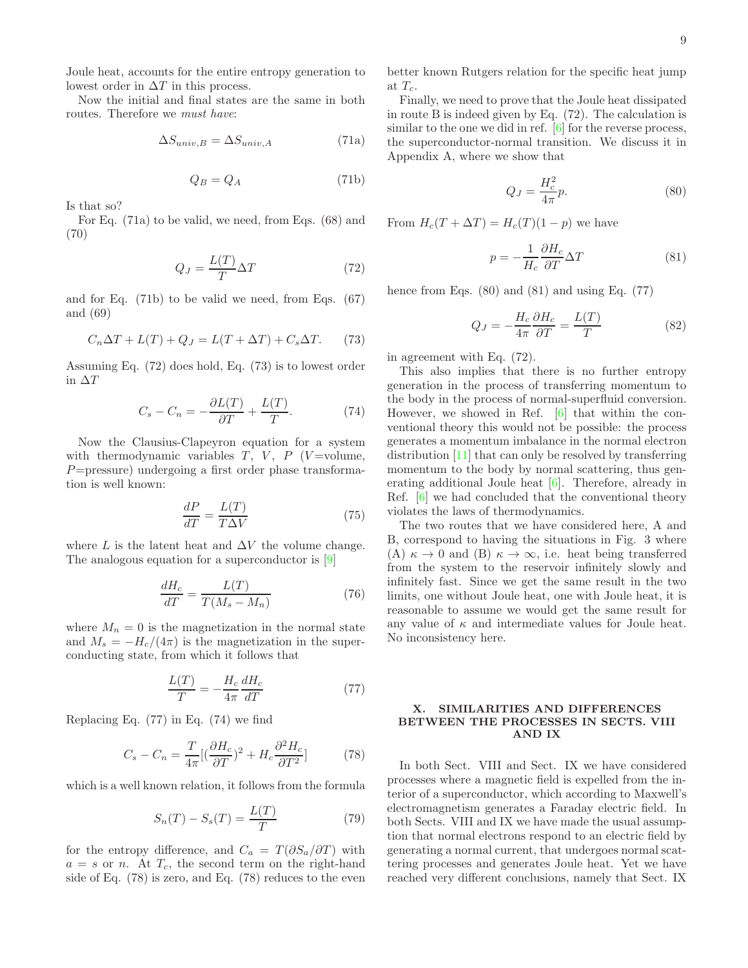Joule heat, accounts for the entire entropy generation to lowest order in  $\Delta T$  in this process.

Now the initial and final states are the same in both routes. Therefore we must have:

$$
\Delta S_{univ,B} = \Delta S_{univ,A} \tag{71a}
$$

$$
Q_B = Q_A \tag{71b}
$$

Is that so?

For Eq. (71a) to be valid, we need, from Eqs. (68) and (70)

$$
Q_J = \frac{L(T)}{T} \Delta T \tag{72}
$$

and for Eq. (71b) to be valid we need, from Eqs. (67) and (69)

$$
C_n \Delta T + L(T) + Q_J = L(T + \Delta T) + C_s \Delta T.
$$
 (73)

Assuming Eq. (72) does hold, Eq. (73) is to lowest order in  $\Delta T$ 

$$
C_s - C_n = -\frac{\partial L(T)}{\partial T} + \frac{L(T)}{T}.
$$
 (74)

Now the Clausius-Clapeyron equation for a system with thermodynamic variables  $T$ ,  $V$ ,  $P$  ( $V$  =volume,  $P=$ pressure) undergoing a first order phase transformation is well known:

$$
\frac{dP}{dT} = \frac{L(T)}{T\Delta V} \tag{75}
$$

where L is the latent heat and  $\Delta V$  the volume change. The analogous equation for a superconductor is [\[9\]](#page-22-8)

$$
\frac{dH_c}{dT} = \frac{L(T)}{T(M_s - M_n)}\tag{76}
$$

where  $M_n = 0$  is the magnetization in the normal state and  $M_s = -H_c/(4\pi)$  is the magnetization in the superconducting state, from which it follows that

$$
\frac{L(T)}{T} = -\frac{H_c}{4\pi} \frac{dH_c}{dT}
$$
\n(77)

Replacing Eq. (77) in Eq. (74) we find

$$
C_s - C_n = \frac{T}{4\pi} \left[ \left( \frac{\partial H_c}{\partial T} \right)^2 + H_c \frac{\partial^2 H_c}{\partial T^2} \right] \tag{78}
$$

which is a well known relation, it follows from the formula

$$
S_n(T) - S_s(T) = \frac{L(T)}{T}
$$
 (79)

for the entropy difference, and  $C_a = T(\partial S_a/\partial T)$  with  $a = s$  or n. At  $T_c$ , the second term on the right-hand side of Eq. (78) is zero, and Eq. (78) reduces to the even better known Rutgers relation for the specific heat jump at  $T_c$ .

Finally, we need to prove that the Joule heat dissipated in route B is indeed given by Eq. (72). The calculation is similar to the one we did in ref. [\[6\]](#page-22-5) for the reverse process, the superconductor-normal transition. We discuss it in Appendix A, where we show that

$$
Q_J = \frac{H_c^2}{4\pi}p.\tag{80}
$$

From  $H_c(T + \Delta T) = H_c(T)(1 - p)$  we have

$$
p = -\frac{1}{H_c} \frac{\partial H_c}{\partial T} \Delta T \tag{81}
$$

hence from Eqs.  $(80)$  and  $(81)$  and using Eq.  $(77)$ 

$$
Q_J = -\frac{H_c}{4\pi} \frac{\partial H_c}{\partial T} = \frac{L(T)}{T}
$$
 (82)

in agreement with Eq. (72).

This also implies that there is no further entropy generation in the process of transferring momentum to the body in the process of normal-superfluid conversion. However, we showed in Ref. [\[6\]](#page-22-5) that within the conventional theory this would not be possible: the process generates a momentum imbalance in the normal electron distribution [\[11](#page-23-0)] that can only be resolved by transferring momentum to the body by normal scattering, thus generating additional Joule heat [\[6\]](#page-22-5). Therefore, already in Ref. [\[6](#page-22-5)] we had concluded that the conventional theory violates the laws of thermodynamics.

The two routes that we have considered here, A and B, correspond to having the situations in Fig. 3 where (A)  $\kappa \to 0$  and (B)  $\kappa \to \infty$ , i.e. heat being transferred from the system to the reservoir infinitely slowly and infinitely fast. Since we get the same result in the two limits, one without Joule heat, one with Joule heat, it is reasonable to assume we would get the same result for any value of  $\kappa$  and intermediate values for Joule heat. No inconsistency here.

# X. SIMILARITIES AND DIFFERENCES BETWEEN THE PROCESSES IN SECTS. VIII AND IX

In both Sect. VIII and Sect. IX we have considered processes where a magnetic field is expelled from the interior of a superconductor, which according to Maxwell's electromagnetism generates a Faraday electric field. In both Sects. VIII and IX we have made the usual assumption that normal electrons respond to an electric field by generating a normal current, that undergoes normal scattering processes and generates Joule heat. Yet we have reached very different conclusions, namely that Sect. IX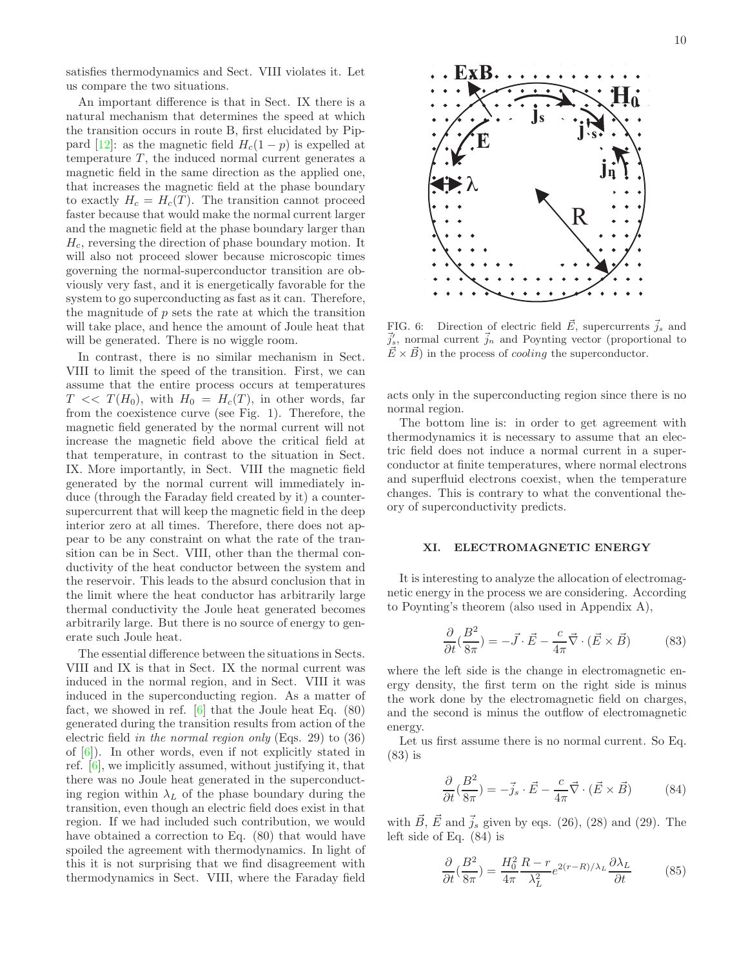An important difference is that in Sect. IX there is a<br>tural mechanism that determines the speed at which natural mechanism that determines the speed at which the transition opens in route B, filst elucidated by Pip-the transition opens in route B, first elucleated by Pippard [\[12](#page-23-1)]: as the magnetic field  $H_c(1-p)$  is expelled at temperature  $T$ , the induced normal current generates a magnetic field in the same direction as the applied one magnetic field in the same direction as the applied one, that increases the magnetic field at the phase boundary to exactly  $H_c = H_c(T)$ . The transition cannot proceed to exactly  $H_c = H_c(\tilde{T})$ . The transition cannot proceed faster because that would make the **Normal current larger** and the magnetic field at the phase boundary larger than  $H_c$ , reversing the direction of phase boundary motion. It will also not proceed slower because microscopic times governing the normal-superconductor transition are obviously very fast, and it is energetically favorable for the system to go superconducting as fast as it can. Therefore, the magnitude of  $p$  sets the rate at which the transition will take place, and hence the amount of Joule heat that will be generated. There is no wiggle room.

In contrast, there is no similar mechanism in Sect. VIII to limit the speed of the transition. First, we can assume that the entire process occurs at temperatures  $T \ll T(H_0)$ , with  $H_0 = H_c(T)$ , in other words, far from the coexistence curve (see Fig. 1). Therefore, the magnetic field generated by the normal current will not increase the magnetic field above the critical field at that temperature, in contrast to the situation in Sect. IX. More importantly, in Sect. VIII the magnetic field generated by the normal current will immediately induce (through the Faraday field created by it) a countersupercurrent that will keep the magnetic field in the deep interior zero at all times. Therefore, there does not appear to be any constraint on what the rate of the transition can be in Sect. VIII, other than the thermal conductivity of the heat conductor between the system and the reservoir. This leads to the absurd conclusion that in the limit where the heat conductor has arbitrarily large thermal conductivity the Joule heat generated becomes arbitrarily large. But there is no source of energy to generate such Joule heat.

The essential difference between the situations in Sects. VIII and IX is that in Sect. IX the normal current was induced in the normal region, and in Sect. VIII it was induced in the superconducting region. As a matter of fact, we showed in ref.  $[6]$  that the Joule heat Eq.  $(80)$ generated during the transition results from action of the electric field in the normal region only (Eqs. 29) to (36) of  $[6]$ ). In other words, even if not explicitly stated in ref. [\[6](#page-22-5)], we implicitly assumed, without justifying it, that there was no Joule heat generated in the superconducting region within  $\lambda_L$  of the phase boundary during the transition, even though an electric field does exist in that region. If we had included such contribution, we would have obtained a correction to Eq. (80) that would have spoiled the agreement with thermodynamics. In light of this it is not surprising that we find disagreement with thermodynamics in Sect. VIII, where the Faraday field



FIG. 6: Direction of electric field  $\vec{E}$ , supercurrents  $\vec{j}_s$  and  $\vec{j}'_s$ , normal current  $\vec{j}_n$  and Poynting vector (proportional to  $\vec{E} \times \vec{B}$  in the process of *cooling* the superconductor.

acts only in the superconducting region since there is no normal region.

The bottom line is: in order to get agreement with thermodynamics it is necessary to assume that an electric field does not induce a normal current in a superconductor at finite temperatures, where normal electrons and superfluid electrons coexist, when the temperature changes. This is contrary to what the conventional theory of superconductivity predicts.

#### XI. ELECTROMAGNETIC ENERGY

It is interesting to analyze the allocation of electromagnetic energy in the process we are considering. According to Poynting's theorem (also used in Appendix A),

$$
\frac{\partial}{\partial t}(\frac{B^2}{8\pi}) = -\vec{J} \cdot \vec{E} - \frac{c}{4\pi} \vec{\nabla} \cdot (\vec{E} \times \vec{B}) \tag{83}
$$

where the left side is the change in electromagnetic energy density, the first term on the right side is minus the work done by the electromagnetic field on charges, and the second is minus the outflow of electromagnetic energy.

Let us first assume there is no normal current. So Eq. (83) is

$$
\frac{\partial}{\partial t} \left( \frac{B^2}{8\pi} \right) = -\vec{j}_s \cdot \vec{E} - \frac{c}{4\pi} \vec{\nabla} \cdot (\vec{E} \times \vec{B}) \tag{84}
$$

with  $\vec{B}$ ,  $\vec{E}$  and  $\vec{j}_s$  given by eqs. (26), (28) and (29). The left side of Eq. (84) is

$$
\frac{\partial}{\partial t} \left( \frac{B^2}{8\pi} \right) = \frac{H_0^2}{4\pi} \frac{R - r}{\lambda_L^2} e^{2(r - R)/\lambda_L} \frac{\partial \lambda_L}{\partial t} \tag{85}
$$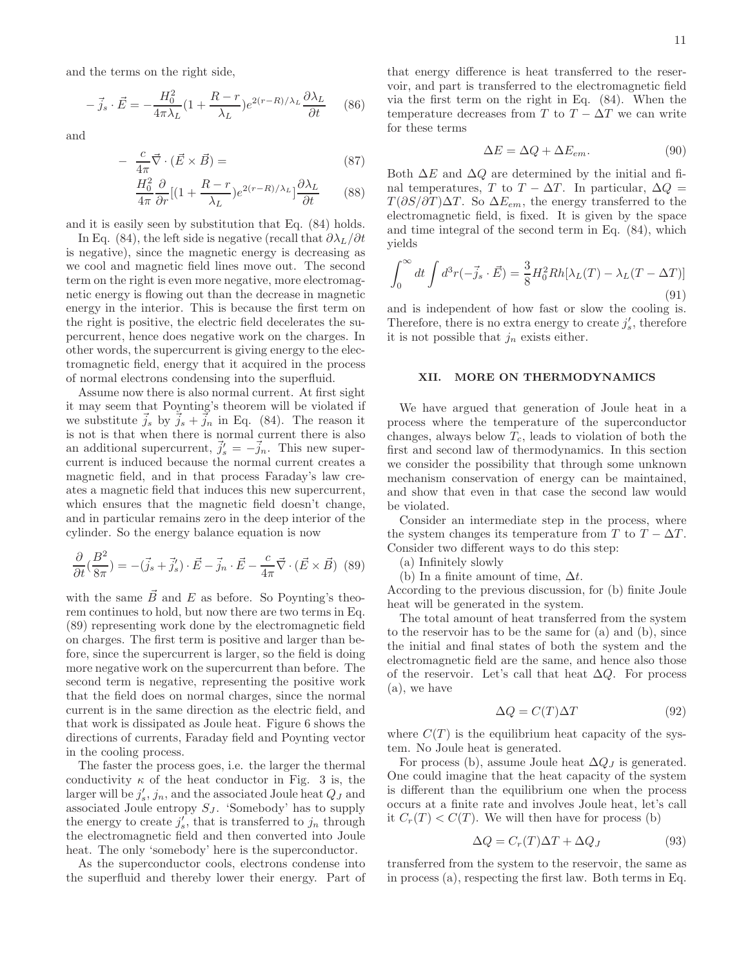and the terms on the right side,

$$
-\vec{j}_s \cdot \vec{E} = -\frac{H_0^2}{4\pi\lambda_L} (1 + \frac{R-r}{\lambda_L}) e^{2(r-R)/\lambda_L} \frac{\partial \lambda_L}{\partial t} \qquad (86)
$$

and

$$
- \frac{c}{4\pi} \vec{\nabla} \cdot (\vec{E} \times \vec{B}) = \tag{87}
$$

$$
\frac{H_0^2}{4\pi} \frac{\partial}{\partial r} \left[ (1 + \frac{R-r}{\lambda_L}) e^{2(r-R)/\lambda_L} \right] \frac{\partial \lambda_L}{\partial t} \qquad (88)
$$

and it is easily seen by substitution that Eq. (84) holds.

In Eq. (84), the left side is negative (recall that  $\partial \lambda_L/\partial t$ is negative), since the magnetic energy is decreasing as we cool and magnetic field lines move out. The second term on the right is even more negative, more electromagnetic energy is flowing out than the decrease in magnetic energy in the interior. This is because the first term on the right is positive, the electric field decelerates the supercurrent, hence does negative work on the charges. In other words, the supercurrent is giving energy to the electromagnetic field, energy that it acquired in the process of normal electrons condensing into the superfluid.

Assume now there is also normal current. At first sight it may seem that Poynting's theorem will be violated if we substitute  $j_s$  by  $j_s + j_n$  in Eq. (84). The reason it is not is that when there is normal current there is also an additional supercurrent,  $\vec{j}'_s = -\vec{j}_n$ . This new supercurrent is induced because the normal current creates a magnetic field, and in that process Faraday's law creates a magnetic field that induces this new supercurrent, which ensures that the magnetic field doesn't change, and in particular remains zero in the deep interior of the cylinder. So the energy balance equation is now

$$
\frac{\partial}{\partial t} \left( \frac{B^2}{8\pi} \right) = -(\vec{j}_s + \vec{j}'_s) \cdot \vec{E} - \vec{j}_n \cdot \vec{E} - \frac{c}{4\pi} \vec{\nabla} \cdot (\vec{E} \times \vec{B}) \tag{89}
$$

with the same  $\vec{B}$  and E as before. So Poynting's theorem continues to hold, but now there are two terms in Eq. (89) representing work done by the electromagnetic field on charges. The first term is positive and larger than before, since the supercurrent is larger, so the field is doing more negative work on the supercurrent than before. The second term is negative, representing the positive work that the field does on normal charges, since the normal current is in the same direction as the electric field, and that work is dissipated as Joule heat. Figure 6 shows the directions of currents, Faraday field and Poynting vector in the cooling process.

The faster the process goes, i.e. the larger the thermal conductivity  $\kappa$  of the heat conductor in Fig. 3 is, the larger will be  $j_s'$ ,  $j_n$ , and the associated Joule heat  $Q_j$  and associated Joule entropy  $S_J$ . 'Somebody' has to supply the energy to create  $j'_s$ , that is transferred to  $j_n$  through the electromagnetic field and then converted into Joule heat. The only 'somebody' here is the superconductor.

As the superconductor cools, electrons condense into the superfluid and thereby lower their energy. Part of that energy difference is heat transferred to the reservoir, and part is transferred to the electromagnetic field via the first term on the right in Eq. (84). When the temperature decreases from T to  $T - \Delta T$  we can write for these terms

$$
\Delta E = \Delta Q + \Delta E_{em}.\tag{90}
$$

Both  $\Delta E$  and  $\Delta Q$  are determined by the initial and final temperatures, T to  $T - \Delta T$ . In particular,  $\Delta Q =$  $T(\partial S/\partial T)\Delta T$ . So  $\Delta E_{em}$ , the energy transferred to the electromagnetic field, is fixed. It is given by the space and time integral of the second term in Eq. (84), which yields

$$
\int_0^\infty dt \int d^3r (-\vec{j}_s \cdot \vec{E}) = \frac{3}{8} H_0^2 R h [\lambda_L(T) - \lambda_L(T - \Delta T)] \tag{91}
$$

and is independent of how fast or slow the cooling is. Therefore, there is no extra energy to create  $j'_{s}$ , therefore it is not possible that  $j_n$  exists either.

# XII. MORE ON THERMODYNAMICS

We have argued that generation of Joule heat in a process where the temperature of the superconductor changes, always below  $T_c$ , leads to violation of both the first and second law of thermodynamics. In this section we consider the possibility that through some unknown mechanism conservation of energy can be maintained, and show that even in that case the second law would be violated.

Consider an intermediate step in the process, where the system changes its temperature from T to  $T - \Delta T$ . Consider two different ways to do this step:

(a) Infinitely slowly

(b) In a finite amount of time,  $\Delta t$ .

According to the previous discussion, for (b) finite Joule heat will be generated in the system.

The total amount of heat transferred from the system to the reservoir has to be the same for (a) and (b), since the initial and final states of both the system and the electromagnetic field are the same, and hence also those of the reservoir. Let's call that heat  $\Delta Q$ . For process (a), we have

$$
\Delta Q = C(T)\Delta T \tag{92}
$$

where  $C(T)$  is the equilibrium heat capacity of the system. No Joule heat is generated.

For process (b), assume Joule heat  $\Delta Q_J$  is generated. One could imagine that the heat capacity of the system is different than the equilibrium one when the process occurs at a finite rate and involves Joule heat, let's call it  $C_r(T) < C(T)$ . We will then have for process (b)

$$
\Delta Q = C_r(T)\Delta T + \Delta Q_J \tag{93}
$$

transferred from the system to the reservoir, the same as in process (a), respecting the first law. Both terms in Eq.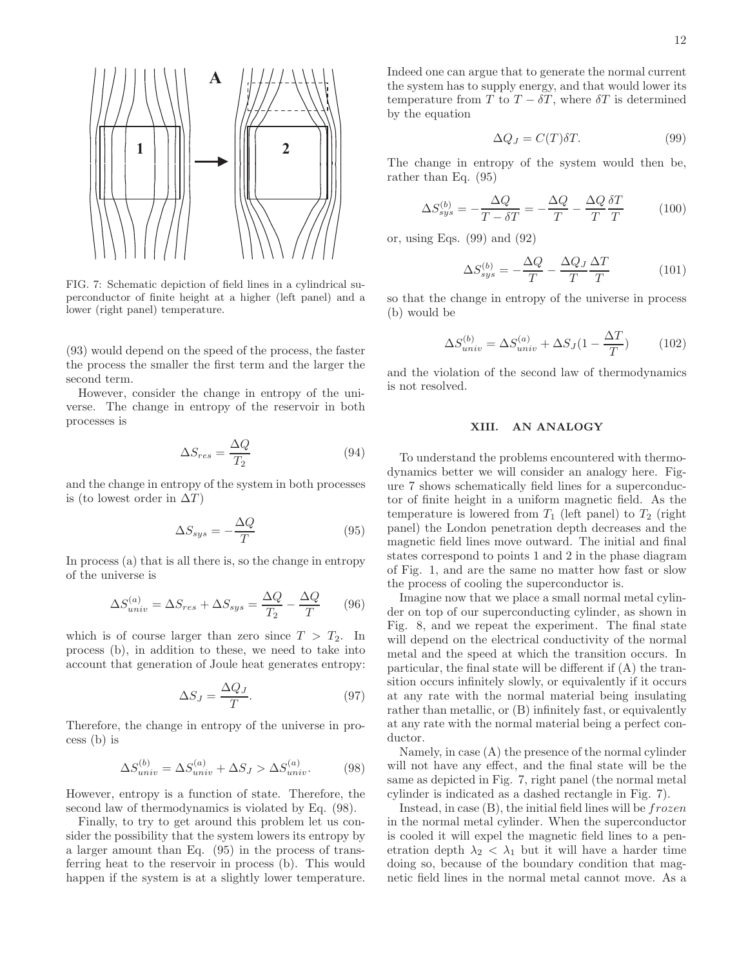

lower (right panel) temperature.<br> **B** FIG. 7: Schematic depiction of field lines in a cylindrical superconductor of finite height at a higher (left panel) and a

(93) would depend on the speed of the process, the faster the process the smaller the first term and the larger the second term.

However, consider the change in entropy of the universe. The change in entropy of the reservoir in both processes is

$$
\Delta S_{res} = \frac{\Delta Q}{T_2} \tag{94}
$$

and the change in entropy of the system in both processes is (to lowest order in  $\Delta T$ )

$$
\Delta S_{sys} = -\frac{\Delta Q}{T} \tag{95}
$$

In process (a) that is all there is, so the change in entropy of the universe is

$$
\Delta S_{univ}^{(a)} = \Delta S_{res} + \Delta S_{sys} = \frac{\Delta Q}{T_2} - \frac{\Delta Q}{T}
$$
 (96)

which is of course larger than zero since  $T > T_2$ . In process (b), in addition to these, we need to take into account that generation of Joule heat generates entropy:

$$
\Delta S_J = \frac{\Delta Q_J}{T}.\tag{97}
$$

Therefore, the change in entropy of the universe in process (b) is

$$
\Delta S_{univ}^{(b)} = \Delta S_{univ}^{(a)} + \Delta S_J > \Delta S_{univ}^{(a)}.\tag{98}
$$

However, entropy is a function of state. Therefore, the second law of thermodynamics is violated by Eq. (98).

Finally, to try to get around this problem let us consider the possibility that the system lowers its entropy by a larger amount than Eq. (95) in the process of transferring heat to the reservoir in process (b). This would happen if the system is at a slightly lower temperature. Indeed one can argue that to generate the normal current the system has to supply energy, and that would lower its temperature from T to  $T - \delta T$ , where  $\delta T$  is determined by the equation

$$
\Delta Q_J = C(T)\delta T. \tag{99}
$$

The change in entropy of the system would then be, rather than Eq. (95)

$$
\Delta S_{sys}^{(b)} = -\frac{\Delta Q}{T - \delta T} = -\frac{\Delta Q}{T} - \frac{\Delta Q}{T} \frac{\delta T}{T}
$$
(100)

or, using Eqs. (99) and (92)

$$
\Delta S_{sys}^{(b)} = -\frac{\Delta Q}{T} - \frac{\Delta Q_J}{T} \frac{\Delta T}{T}
$$
 (101)

so that the change in entropy of the universe in process (b) would be

$$
\Delta S_{univ}^{(b)} = \Delta S_{univ}^{(a)} + \Delta S_J (1 - \frac{\Delta T}{T}) \tag{102}
$$

and the violation of the second law of thermodynamics is not resolved.

# XIII. AN ANALOGY

To understand the problems encountered with thermodynamics better we will consider an analogy here. Figure 7 shows schematically field lines for a superconductor of finite height in a uniform magnetic field. As the temperature is lowered from  $T_1$  (left panel) to  $T_2$  (right panel) the London penetration depth decreases and the magnetic field lines move outward. The initial and final states correspond to points 1 and 2 in the phase diagram of Fig. 1, and are the same no matter how fast or slow the process of cooling the superconductor is.

Imagine now that we place a small normal metal cylinder on top of our superconducting cylinder, as shown in Fig. 8, and we repeat the experiment. The final state will depend on the electrical conductivity of the normal metal and the speed at which the transition occurs. In particular, the final state will be different if (A) the transition occurs infinitely slowly, or equivalently if it occurs at any rate with the normal material being insulating rather than metallic, or (B) infinitely fast, or equivalently at any rate with the normal material being a perfect conductor.

Namely, in case (A) the presence of the normal cylinder will not have any effect, and the final state will be the same as depicted in Fig. 7, right panel (the normal metal cylinder is indicated as a dashed rectangle in Fig. 7).

Instead, in case  $(B)$ , the initial field lines will be  $frozen$ in the normal metal cylinder. When the superconductor is cooled it will expel the magnetic field lines to a penetration depth  $\lambda_2 < \lambda_1$  but it will have a harder time doing so, because of the boundary condition that magnetic field lines in the normal metal cannot move. As a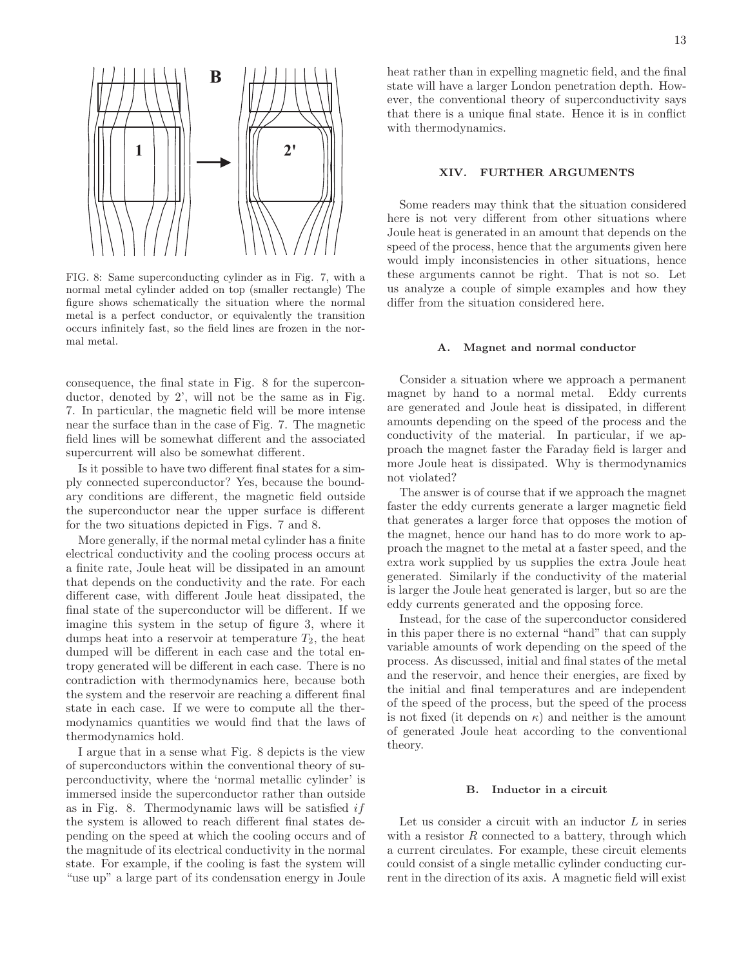

FIG. 8: Same superconducting cylinder as in Fig. 7, with a normal metal cylinder added on top (smaller rectangle) The figure shows schematically the situation where the normal metal is a perfect conductor, or equivalently the transition occurs infinitely fast, so the field lines are frozen in the normal metal.

consequence, the final state in Fig. 8 for the superconductor, denoted by 2', will not be the same as in Fig. 7. In particular, the magnetic field will be more intense near the surface than in the case of Fig. 7. The magnetic field lines will be somewhat different and the associated supercurrent will also be somewhat different.

Is it possible to have two different final states for a simply connected superconductor? Yes, because the boundary conditions are different, the magnetic field outside the superconductor near the upper surface is different for the two situations depicted in Figs. 7 and 8.

More generally, if the normal metal cylinder has a finite electrical conductivity and the cooling process occurs at a finite rate, Joule heat will be dissipated in an amount that depends on the conductivity and the rate. For each different case, with different Joule heat dissipated, the final state of the superconductor will be different. If we imagine this system in the setup of figure 3, where it dumps heat into a reservoir at temperature  $T_2$ , the heat dumped will be different in each case and the total entropy generated will be different in each case. There is no contradiction with thermodynamics here, because both the system and the reservoir are reaching a different final state in each case. If we were to compute all the thermodynamics quantities we would find that the laws of thermodynamics hold.

I argue that in a sense what Fig. 8 depicts is the view of superconductors within the conventional theory of superconductivity, where the 'normal metallic cylinder' is immersed inside the superconductor rather than outside as in Fig. 8. Thermodynamic laws will be satisfied  $if$ the system is allowed to reach different final states depending on the speed at which the cooling occurs and of the magnitude of its electrical conductivity in the normal state. For example, if the cooling is fast the system will "use up" a large part of its condensation energy in Joule

## XIV. FURTHER ARGUMENTS

Some readers may think that the situation considered here is not very different from other situations where Joule heat is generated in an amount that depends on the speed of the process, hence that the arguments given here would imply inconsistencies in other situations, hence these arguments cannot be right. That is not so. Let us analyze a couple of simple examples and how they differ from the situation considered here.

### A. Magnet and normal conductor

Consider a situation where we approach a permanent magnet by hand to a normal metal. Eddy currents are generated and Joule heat is dissipated, in different amounts depending on the speed of the process and the conductivity of the material. In particular, if we approach the magnet faster the Faraday field is larger and more Joule heat is dissipated. Why is thermodynamics not violated?

The answer is of course that if we approach the magnet faster the eddy currents generate a larger magnetic field that generates a larger force that opposes the motion of the magnet, hence our hand has to do more work to approach the magnet to the metal at a faster speed, and the extra work supplied by us supplies the extra Joule heat generated. Similarly if the conductivity of the material is larger the Joule heat generated is larger, but so are the eddy currents generated and the opposing force.

Instead, for the case of the superconductor considered in this paper there is no external "hand" that can supply variable amounts of work depending on the speed of the process. As discussed, initial and final states of the metal and the reservoir, and hence their energies, are fixed by the initial and final temperatures and are independent of the speed of the process, but the speed of the process is not fixed (it depends on  $\kappa$ ) and neither is the amount of generated Joule heat according to the conventional theory.

#### B. Inductor in a circuit

Let us consider a circuit with an inductor  $L$  in series with a resistor  $R$  connected to a battery, through which a current circulates. For example, these circuit elements could consist of a single metallic cylinder conducting current in the direction of its axis. A magnetic field will exist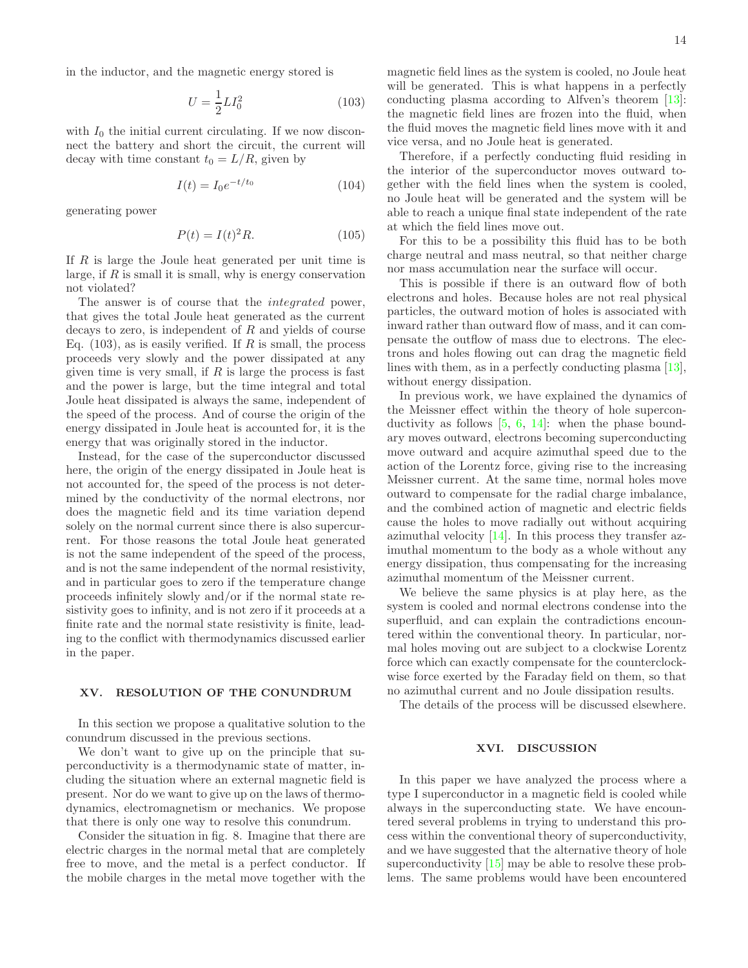in the inductor, and the magnetic energy stored is

$$
U = \frac{1}{2}LI_0^2\tag{103}
$$

with  $I_0$  the initial current circulating. If we now disconnect the battery and short the circuit, the current will decay with time constant  $t_0 = L/R$ , given by

$$
I(t) = I_0 e^{-t/t_0}
$$
 (104)

generating power

$$
P(t) = I(t)^2 R.
$$
\n<sup>(105)</sup>

If  $R$  is large the Joule heat generated per unit time is large, if  $R$  is small it is small, why is energy conservation not violated?

The answer is of course that the integrated power, that gives the total Joule heat generated as the current decays to zero, is independent of  $R$  and yields of course Eq.  $(103)$ , as is easily verified. If R is small, the process proceeds very slowly and the power dissipated at any given time is very small, if  $R$  is large the process is fast and the power is large, but the time integral and total Joule heat dissipated is always the same, independent of the speed of the process. And of course the origin of the energy dissipated in Joule heat is accounted for, it is the energy that was originally stored in the inductor.

Instead, for the case of the superconductor discussed here, the origin of the energy dissipated in Joule heat is not accounted for, the speed of the process is not determined by the conductivity of the normal electrons, nor does the magnetic field and its time variation depend solely on the normal current since there is also supercurrent. For those reasons the total Joule heat generated is not the same independent of the speed of the process, and is not the same independent of the normal resistivity, and in particular goes to zero if the temperature change proceeds infinitely slowly and/or if the normal state resistivity goes to infinity, and is not zero if it proceeds at a finite rate and the normal state resistivity is finite, leading to the conflict with thermodynamics discussed earlier in the paper.

# XV. RESOLUTION OF THE CONUNDRUM

In this section we propose a qualitative solution to the conundrum discussed in the previous sections.

We don't want to give up on the principle that superconductivity is a thermodynamic state of matter, including the situation where an external magnetic field is present. Nor do we want to give up on the laws of thermodynamics, electromagnetism or mechanics. We propose that there is only one way to resolve this conundrum.

Consider the situation in fig. 8. Imagine that there are electric charges in the normal metal that are completely free to move, and the metal is a perfect conductor. If the mobile charges in the metal move together with the magnetic field lines as the system is cooled, no Joule heat will be generated. This is what happens in a perfectly conducting plasma according to Alfven's theorem [\[13\]](#page-23-2): the magnetic field lines are frozen into the fluid, when the fluid moves the magnetic field lines move with it and vice versa, and no Joule heat is generated.

Therefore, if a perfectly conducting fluid residing in the interior of the superconductor moves outward together with the field lines when the system is cooled, no Joule heat will be generated and the system will be able to reach a unique final state independent of the rate at which the field lines move out.

For this to be a possibility this fluid has to be both charge neutral and mass neutral, so that neither charge nor mass accumulation near the surface will occur.

This is possible if there is an outward flow of both electrons and holes. Because holes are not real physical particles, the outward motion of holes is associated with inward rather than outward flow of mass, and it can compensate the outflow of mass due to electrons. The electrons and holes flowing out can drag the magnetic field lines with them, as in a perfectly conducting plasma [\[13\]](#page-23-2), without energy dissipation.

In previous work, we have explained the dynamics of the Meissner effect within the theory of hole superconductivity as follows  $[5, 6, 14]$  $[5, 6, 14]$  $[5, 6, 14]$  $[5, 6, 14]$ : when the phase boundary moves outward, electrons becoming superconducting move outward and acquire azimuthal speed due to the action of the Lorentz force, giving rise to the increasing Meissner current. At the same time, normal holes move outward to compensate for the radial charge imbalance, and the combined action of magnetic and electric fields cause the holes to move radially out without acquiring azimuthal velocity  $[14]$ . In this process they transfer azimuthal momentum to the body as a whole without any energy dissipation, thus compensating for the increasing azimuthal momentum of the Meissner current.

We believe the same physics is at play here, as the system is cooled and normal electrons condense into the superfluid, and can explain the contradictions encountered within the conventional theory. In particular, normal holes moving out are subject to a clockwise Lorentz force which can exactly compensate for the counterclockwise force exerted by the Faraday field on them, so that no azimuthal current and no Joule dissipation results.

The details of the process will be discussed elsewhere.

# XVI. DISCUSSION

In this paper we have analyzed the process where a type I superconductor in a magnetic field is cooled while always in the superconducting state. We have encountered several problems in trying to understand this process within the conventional theory of superconductivity, and we have suggested that the alternative theory of hole superconductivity [\[15](#page-23-4)] may be able to resolve these problems. The same problems would have been encountered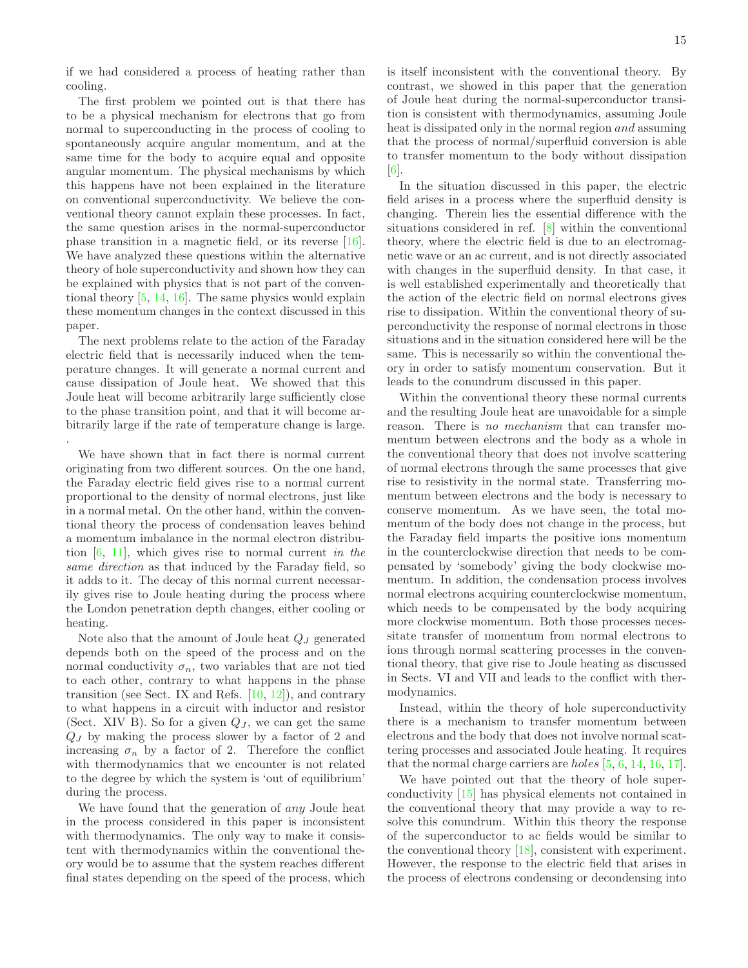if we had considered a process of heating rather than cooling.

The first problem we pointed out is that there has to be a physical mechanism for electrons that go from normal to superconducting in the process of cooling to spontaneously acquire angular momentum, and at the same time for the body to acquire equal and opposite angular momentum. The physical mechanisms by which this happens have not been explained in the literature on conventional superconductivity. We believe the conventional theory cannot explain these processes. In fact, the same question arises in the normal-superconductor phase transition in a magnetic field, or its reverse [\[16\]](#page-23-5). We have analyzed these questions within the alternative theory of hole superconductivity and shown how they can be explained with physics that is not part of the conventional theory [\[5](#page-22-4), [14,](#page-23-3) [16](#page-23-5)]. The same physics would explain these momentum changes in the context discussed in this paper.

The next problems relate to the action of the Faraday electric field that is necessarily induced when the temperature changes. It will generate a normal current and cause dissipation of Joule heat. We showed that this Joule heat will become arbitrarily large sufficiently close to the phase transition point, and that it will become arbitrarily large if the rate of temperature change is large. .

We have shown that in fact there is normal current originating from two different sources. On the one hand, the Faraday electric field gives rise to a normal current proportional to the density of normal electrons, just like in a normal metal. On the other hand, within the conventional theory the process of condensation leaves behind a momentum imbalance in the normal electron distribution [\[6,](#page-22-5) [11](#page-23-0)], which gives rise to normal current in the same direction as that induced by the Faraday field, so it adds to it. The decay of this normal current necessarily gives rise to Joule heating during the process where the London penetration depth changes, either cooling or heating.

Note also that the amount of Joule heat  $Q_J$  generated depends both on the speed of the process and on the normal conductivity  $\sigma_n$ , two variables that are not tied to each other, contrary to what happens in the phase transition (see Sect. IX and Refs. [\[10,](#page-22-9) [12](#page-23-1)]), and contrary to what happens in a circuit with inductor and resistor (Sect. XIV B). So for a given  $Q_J$ , we can get the same  $Q_J$  by making the process slower by a factor of 2 and increasing  $\sigma_n$  by a factor of 2. Therefore the conflict with thermodynamics that we encounter is not related to the degree by which the system is 'out of equilibrium' during the process.

We have found that the generation of *any* Joule heat in the process considered in this paper is inconsistent with thermodynamics. The only way to make it consistent with thermodynamics within the conventional theory would be to assume that the system reaches different final states depending on the speed of the process, which 15

is itself inconsistent with the conventional theory. By contrast, we showed in this paper that the generation of Joule heat during the normal-superconductor transition is consistent with thermodynamics, assuming Joule heat is dissipated only in the normal region and assuming that the process of normal/superfluid conversion is able to transfer momentum to the body without dissipation  $\vert 6 \vert$ .

In the situation discussed in this paper, the electric field arises in a process where the superfluid density is changing. Therein lies the essential difference with the situations considered in ref. [\[8](#page-22-7)] within the conventional theory, where the electric field is due to an electromagnetic wave or an ac current, and is not directly associated with changes in the superfluid density. In that case, it is well established experimentally and theoretically that the action of the electric field on normal electrons gives rise to dissipation. Within the conventional theory of superconductivity the response of normal electrons in those situations and in the situation considered here will be the same. This is necessarily so within the conventional theory in order to satisfy momentum conservation. But it leads to the conundrum discussed in this paper.

Within the conventional theory these normal currents and the resulting Joule heat are unavoidable for a simple reason. There is no mechanism that can transfer momentum between electrons and the body as a whole in the conventional theory that does not involve scattering of normal electrons through the same processes that give rise to resistivity in the normal state. Transferring momentum between electrons and the body is necessary to conserve momentum. As we have seen, the total momentum of the body does not change in the process, but the Faraday field imparts the positive ions momentum in the counterclockwise direction that needs to be compensated by 'somebody' giving the body clockwise momentum. In addition, the condensation process involves normal electrons acquiring counterclockwise momentum, which needs to be compensated by the body acquiring more clockwise momentum. Both those processes necessitate transfer of momentum from normal electrons to ions through normal scattering processes in the conventional theory, that give rise to Joule heating as discussed in Sects. VI and VII and leads to the conflict with thermodynamics.

Instead, within the theory of hole superconductivity there is a mechanism to transfer momentum between electrons and the body that does not involve normal scattering processes and associated Joule heating. It requires that the normal charge carriers are holes [\[5,](#page-22-4) [6](#page-22-5), [14](#page-23-3), [16,](#page-23-5) [17\]](#page-23-6).

We have pointed out that the theory of hole superconductivity [\[15](#page-23-4)] has physical elements not contained in the conventional theory that may provide a way to resolve this conundrum. Within this theory the response of the superconductor to ac fields would be similar to the conventional theory [\[18](#page-23-7)], consistent with experiment. However, the response to the electric field that arises in the process of electrons condensing or decondensing into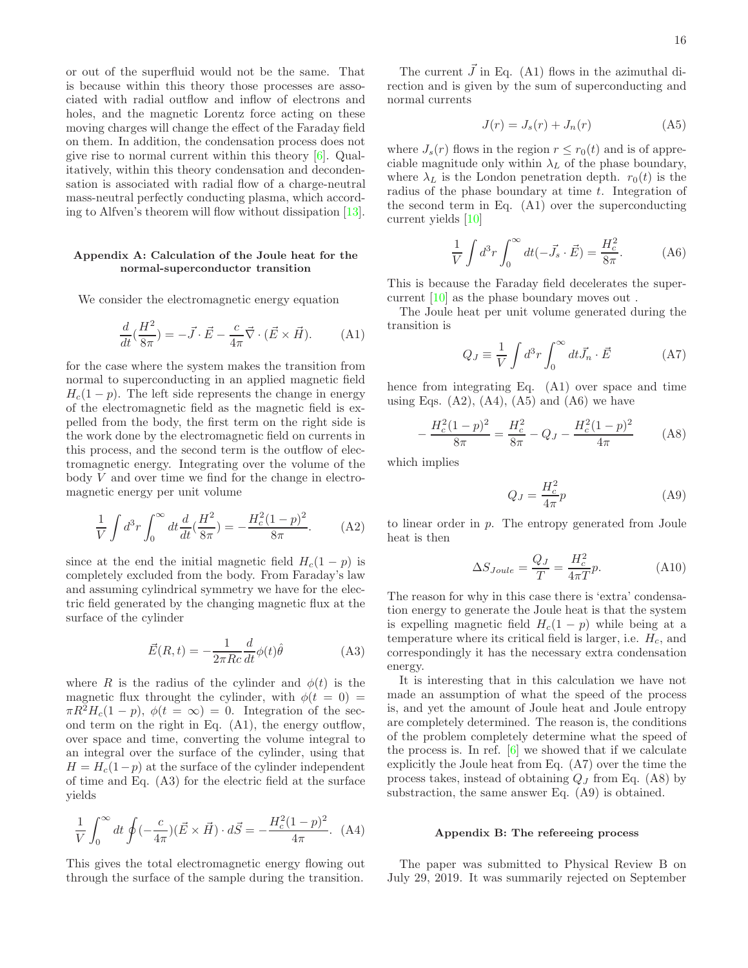or out of the superfluid would not be the same. That is because within this theory those processes are associated with radial outflow and inflow of electrons and holes, and the magnetic Lorentz force acting on these moving charges will change the effect of the Faraday field on them. In addition, the condensation process does not give rise to normal current within this theory [\[6](#page-22-5)]. Qualitatively, within this theory condensation and decondensation is associated with radial flow of a charge-neutral mass-neutral perfectly conducting plasma, which according to Alfven's theorem will flow without dissipation [\[13\]](#page-23-2).

# Appendix A: Calculation of the Joule heat for the normal-superconductor transition

We consider the electromagnetic energy equation

$$
\frac{d}{dt}(\frac{H^2}{8\pi}) = -\vec{J} \cdot \vec{E} - \frac{c}{4\pi} \vec{\nabla} \cdot (\vec{E} \times \vec{H}).
$$
 (A1)

for the case where the system makes the transition from normal to superconducting in an applied magnetic field  $H_c(1-p)$ . The left side represents the change in energy of the electromagnetic field as the magnetic field is expelled from the body, the first term on the right side is the work done by the electromagnetic field on currents in this process, and the second term is the outflow of electromagnetic energy. Integrating over the volume of the body V and over time we find for the change in electromagnetic energy per unit volume

$$
\frac{1}{V} \int d^3 r \int_0^\infty dt \frac{d}{dt} \left(\frac{H^2}{8\pi}\right) = -\frac{H_c^2 (1-p)^2}{8\pi}.
$$
 (A2)

since at the end the initial magnetic field  $H_c(1-p)$  is completely excluded from the body. From Faraday's law and assuming cylindrical symmetry we have for the electric field generated by the changing magnetic flux at the surface of the cylinder

$$
\vec{E}(R,t) = -\frac{1}{2\pi Rc} \frac{d}{dt} \phi(t)\hat{\theta}
$$
 (A3)

where R is the radius of the cylinder and  $\phi(t)$  is the magnetic flux throught the cylinder, with  $\phi(t = 0)$  $\pi R^2 H_c(1-p)$ ,  $\phi(t=\infty)=0$ . Integration of the second term on the right in Eq. (A1), the energy outflow, over space and time, converting the volume integral to an integral over the surface of the cylinder, using that  $H = H_c(1-p)$  at the surface of the cylinder independent of time and Eq. (A3) for the electric field at the surface yields

$$
\frac{1}{V} \int_0^{\infty} dt \oint (-\frac{c}{4\pi})(\vec{E} \times \vec{H}) \cdot d\vec{S} = -\frac{H_c^2 (1 - p)^2}{4\pi}.
$$
 (A4)

This gives the total electromagnetic energy flowing out through the surface of the sample during the transition.

The current  $\vec{J}$  in Eq. (A1) flows in the azimuthal direction and is given by the sum of superconducting and normal currents

$$
J(r) = J_s(r) + J_n(r) \tag{A5}
$$

where  $J_s(r)$  flows in the region  $r \leq r_0(t)$  and is of appreciable magnitude only within  $\lambda_L$  of the phase boundary, where  $\lambda_L$  is the London penetration depth.  $r_0(t)$  is the radius of the phase boundary at time  $t$ . Integration of the second term in Eq. (A1) over the superconducting current yields [\[10\]](#page-22-9)

$$
\frac{1}{V} \int d^3r \int_0^\infty dt (-\vec{J}_s \cdot \vec{E}) = \frac{H_c^2}{8\pi}.
$$
 (A6)

This is because the Faraday field decelerates the supercurrent [\[10\]](#page-22-9) as the phase boundary moves out .

The Joule heat per unit volume generated during the transition is

$$
Q_J \equiv \frac{1}{V} \int d^3r \int_0^\infty dt \vec{J}_n \cdot \vec{E}
$$
 (A7)

hence from integrating Eq. (A1) over space and time using Eqs.  $(A2)$ ,  $(A4)$ ,  $(A5)$  and  $(A6)$  we have

$$
-\frac{H_c^2(1-p)^2}{8\pi} = \frac{H_c^2}{8\pi} - Q_J - \frac{H_c^2(1-p)^2}{4\pi}
$$
 (A8)

which implies

$$
Q_J = \frac{H_c^2}{4\pi}p\tag{A9}
$$

to linear order in p. The entropy generated from Joule heat is then

$$
\Delta S_{Joule} = \frac{Q_J}{T} = \frac{H_c^2}{4\pi T} p.
$$
\n(A10)

The reason for why in this case there is 'extra' condensation energy to generate the Joule heat is that the system is expelling magnetic field  $H_c(1-p)$  while being at a temperature where its critical field is larger, i.e.  $H_c$ , and correspondingly it has the necessary extra condensation energy.

It is interesting that in this calculation we have not made an assumption of what the speed of the process is, and yet the amount of Joule heat and Joule entropy are completely determined. The reason is, the conditions of the problem completely determine what the speed of the process is. In ref.  $\left[6\right]$  we showed that if we calculate explicitly the Joule heat from Eq. (A7) over the time the process takes, instead of obtaining  $Q_J$  from Eq. (A8) by substraction, the same answer Eq. (A9) is obtained.

#### Appendix B: The refereeing process

The paper was submitted to Physical Review B on July 29, 2019. It was summarily rejected on September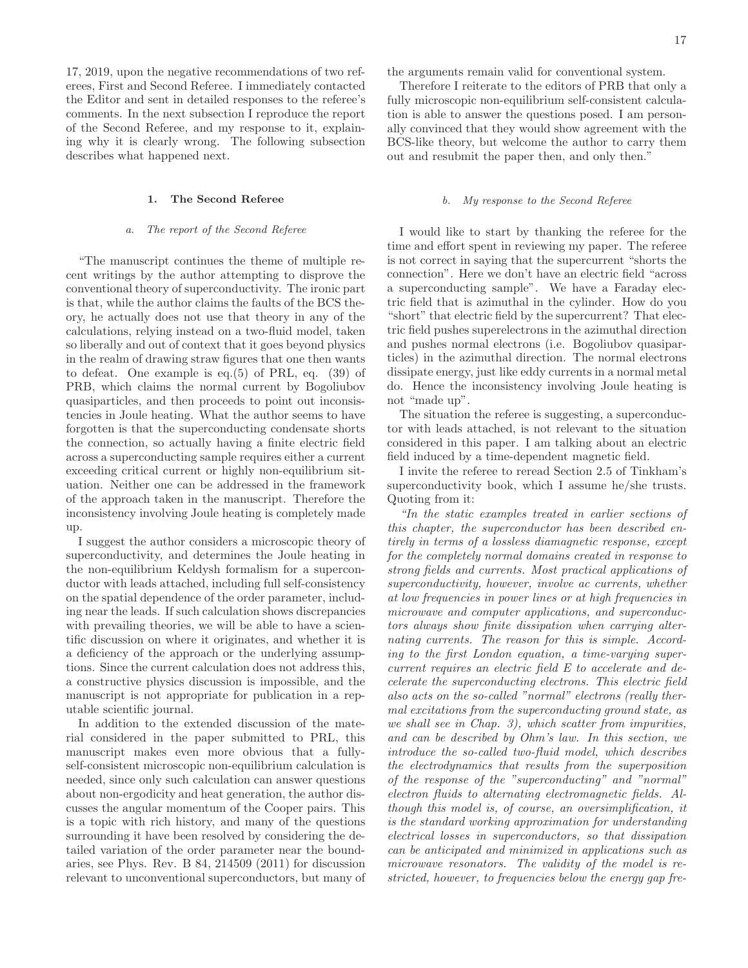17, 2019, upon the negative recommendations of two referees, First and Second Referee. I immediately contacted the Editor and sent in detailed responses to the referee's comments. In the next subsection I reproduce the report of the Second Referee, and my response to it, explaining why it is clearly wrong. The following subsection describes what happened next.

## 1. The Second Referee

## a. The report of the Second Referee

"The manuscript continues the theme of multiple recent writings by the author attempting to disprove the conventional theory of superconductivity. The ironic part is that, while the author claims the faults of the BCS theory, he actually does not use that theory in any of the calculations, relying instead on a two-fluid model, taken so liberally and out of context that it goes beyond physics in the realm of drawing straw figures that one then wants to defeat. One example is eq.(5) of PRL, eq. (39) of PRB, which claims the normal current by Bogoliubov quasiparticles, and then proceeds to point out inconsistencies in Joule heating. What the author seems to have forgotten is that the superconducting condensate shorts the connection, so actually having a finite electric field across a superconducting sample requires either a current exceeding critical current or highly non-equilibrium situation. Neither one can be addressed in the framework of the approach taken in the manuscript. Therefore the inconsistency involving Joule heating is completely made up.

I suggest the author considers a microscopic theory of superconductivity, and determines the Joule heating in the non-equilibrium Keldysh formalism for a superconductor with leads attached, including full self-consistency on the spatial dependence of the order parameter, including near the leads. If such calculation shows discrepancies with prevailing theories, we will be able to have a scientific discussion on where it originates, and whether it is a deficiency of the approach or the underlying assumptions. Since the current calculation does not address this, a constructive physics discussion is impossible, and the manuscript is not appropriate for publication in a reputable scientific journal.

In addition to the extended discussion of the material considered in the paper submitted to PRL, this manuscript makes even more obvious that a fullyself-consistent microscopic non-equilibrium calculation is needed, since only such calculation can answer questions about non-ergodicity and heat generation, the author discusses the angular momentum of the Cooper pairs. This is a topic with rich history, and many of the questions surrounding it have been resolved by considering the detailed variation of the order parameter near the boundaries, see Phys. Rev. B 84, 214509 (2011) for discussion relevant to unconventional superconductors, but many of the arguments remain valid for conventional system.

Therefore I reiterate to the editors of PRB that only a fully microscopic non-equilibrium self-consistent calculation is able to answer the questions posed. I am personally convinced that they would show agreement with the BCS-like theory, but welcome the author to carry them out and resubmit the paper then, and only then."

## b. My response to the Second Referee

I would like to start by thanking the referee for the time and effort spent in reviewing my paper. The referee is not correct in saying that the supercurrent "shorts the connection". Here we don't have an electric field "across a superconducting sample". We have a Faraday electric field that is azimuthal in the cylinder. How do you "short" that electric field by the supercurrent? That electric field pushes superelectrons in the azimuthal direction and pushes normal electrons (i.e. Bogoliubov quasiparticles) in the azimuthal direction. The normal electrons dissipate energy, just like eddy currents in a normal metal do. Hence the inconsistency involving Joule heating is not "made up".

The situation the referee is suggesting, a superconductor with leads attached, is not relevant to the situation considered in this paper. I am talking about an electric field induced by a time-dependent magnetic field.

I invite the referee to reread Section 2.5 of Tinkham's superconductivity book, which I assume he/she trusts. Quoting from it:

"In the static examples treated in earlier sections of this chapter, the superconductor has been described entirely in terms of a lossless diamagnetic response, except for the completely normal domains created in response to strong fields and currents. Most practical applications of superconductivity, however, involve ac currents, whether at low frequencies in power lines or at high frequencies in microwave and computer applications, and superconductors always show finite dissipation when carrying alternating currents. The reason for this is simple. According to the first London equation, a time-varying supercurrent requires an electric field E to accelerate and decelerate the superconducting electrons. This electric field also acts on the so-called "normal" electrons (really thermal excitations from the superconducting ground state, as we shall see in Chap. 3), which scatter from impurities, and can be described by Ohm's law. In this section, we introduce the so-called two-fluid model, which describes the electrodynamics that results from the superposition of the response of the "superconducting" and "normal" electron fluids to alternating electromagnetic fields. Although this model is, of course, an oversimplification, it is the standard working approximation for understanding electrical losses in superconductors, so that dissipation can be anticipated and minimized in applications such as microwave resonators. The validity of the model is restricted, however, to frequencies below the energy gap fre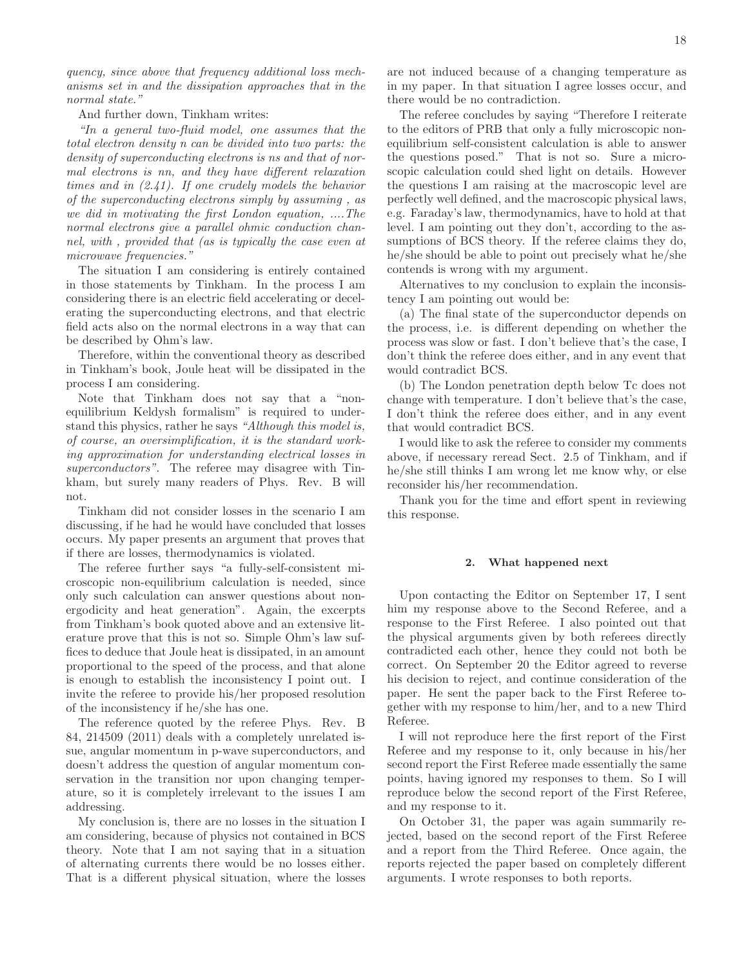quency, since above that frequency additional loss mechanisms set in and the dissipation approaches that in the normal state."

And further down, Tinkham writes:

"In a general two-fluid model, one assumes that the total electron density n can be divided into two parts: the density of superconducting electrons is ns and that of normal electrons is nn, and they have different relaxation times and in (2.41). If one crudely models the behavior of the superconducting electrons simply by assuming , as we did in motivating the first London equation, ....The normal electrons give a parallel ohmic conduction channel, with , provided that (as is typically the case even at microwave frequencies."

The situation I am considering is entirely contained in those statements by Tinkham. In the process I am considering there is an electric field accelerating or decelerating the superconducting electrons, and that electric field acts also on the normal electrons in a way that can be described by Ohm's law.

Therefore, within the conventional theory as described in Tinkham's book, Joule heat will be dissipated in the process I am considering.

Note that Tinkham does not say that a "nonequilibrium Keldysh formalism" is required to understand this physics, rather he says "Although this model is, of course, an oversimplification, it is the standard working approximation for understanding electrical losses in superconductors". The referee may disagree with Tinkham, but surely many readers of Phys. Rev. B will not.

Tinkham did not consider losses in the scenario I am discussing, if he had he would have concluded that losses occurs. My paper presents an argument that proves that if there are losses, thermodynamics is violated.

The referee further says "a fully-self-consistent microscopic non-equilibrium calculation is needed, since only such calculation can answer questions about nonergodicity and heat generation". Again, the excerpts from Tinkham's book quoted above and an extensive literature prove that this is not so. Simple Ohm's law suffices to deduce that Joule heat is dissipated, in an amount proportional to the speed of the process, and that alone is enough to establish the inconsistency I point out. I invite the referee to provide his/her proposed resolution of the inconsistency if he/she has one.

The reference quoted by the referee Phys. Rev. B 84, 214509 (2011) deals with a completely unrelated issue, angular momentum in p-wave superconductors, and doesn't address the question of angular momentum conservation in the transition nor upon changing temperature, so it is completely irrelevant to the issues I am addressing.

My conclusion is, there are no losses in the situation I am considering, because of physics not contained in BCS theory. Note that I am not saying that in a situation of alternating currents there would be no losses either. That is a different physical situation, where the losses are not induced because of a changing temperature as in my paper. In that situation I agree losses occur, and there would be no contradiction.

The referee concludes by saying "Therefore I reiterate to the editors of PRB that only a fully microscopic nonequilibrium self-consistent calculation is able to answer the questions posed." That is not so. Sure a microscopic calculation could shed light on details. However the questions I am raising at the macroscopic level are perfectly well defined, and the macroscopic physical laws, e.g. Faraday's law, thermodynamics, have to hold at that level. I am pointing out they don't, according to the assumptions of BCS theory. If the referee claims they do, he/she should be able to point out precisely what he/she contends is wrong with my argument.

Alternatives to my conclusion to explain the inconsistency I am pointing out would be:

(a) The final state of the superconductor depends on the process, i.e. is different depending on whether the process was slow or fast. I don't believe that's the case, I don't think the referee does either, and in any event that would contradict BCS.

(b) The London penetration depth below Tc does not change with temperature. I don't believe that's the case, I don't think the referee does either, and in any event that would contradict BCS.

I would like to ask the referee to consider my comments above, if necessary reread Sect. 2.5 of Tinkham, and if he/she still thinks I am wrong let me know why, or else reconsider his/her recommendation.

Thank you for the time and effort spent in reviewing this response.

# 2. What happened next

Upon contacting the Editor on September 17, I sent him my response above to the Second Referee, and a response to the First Referee. I also pointed out that the physical arguments given by both referees directly contradicted each other, hence they could not both be correct. On September 20 the Editor agreed to reverse his decision to reject, and continue consideration of the paper. He sent the paper back to the First Referee together with my response to him/her, and to a new Third Referee.

I will not reproduce here the first report of the First Referee and my response to it, only because in his/her second report the First Referee made essentially the same points, having ignored my responses to them. So I will reproduce below the second report of the First Referee, and my response to it.

On October 31, the paper was again summarily rejected, based on the second report of the First Referee and a report from the Third Referee. Once again, the reports rejected the paper based on completely different arguments. I wrote responses to both reports.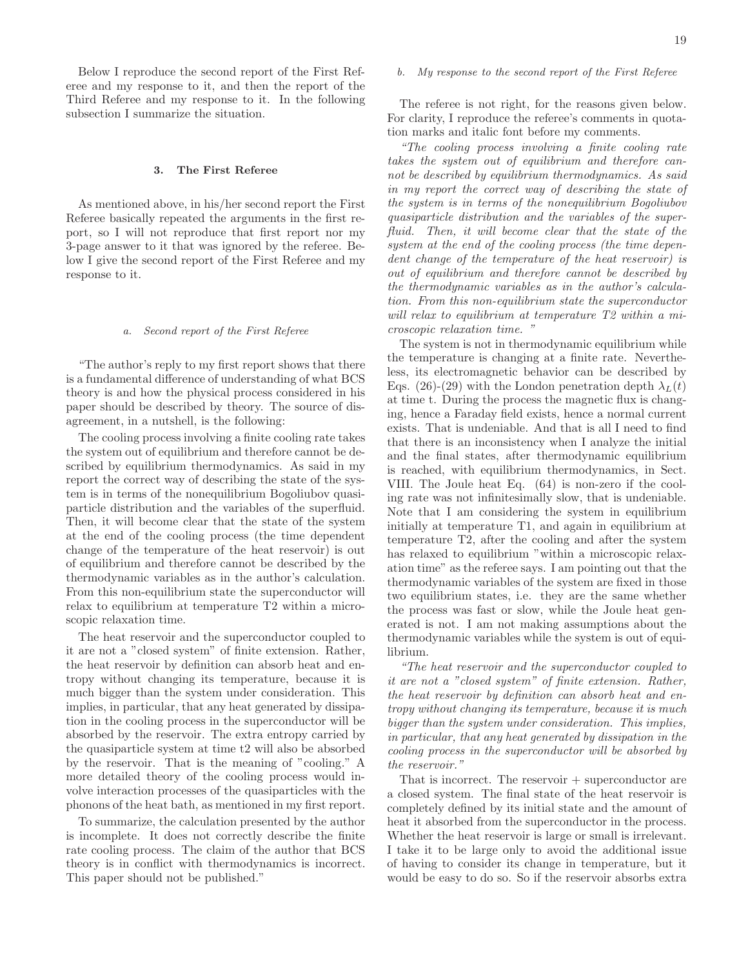Below I reproduce the second report of the First Referee and my response to it, and then the report of the Third Referee and my response to it. In the following subsection I summarize the situation.

## 3. The First Referee

As mentioned above, in his/her second report the First Referee basically repeated the arguments in the first report, so I will not reproduce that first report nor my 3-page answer to it that was ignored by the referee. Below I give the second report of the First Referee and my response to it.

## a. Second report of the First Referee

"The author's reply to my first report shows that there is a fundamental difference of understanding of what BCS theory is and how the physical process considered in his paper should be described by theory. The source of disagreement, in a nutshell, is the following:

The cooling process involving a finite cooling rate takes the system out of equilibrium and therefore cannot be described by equilibrium thermodynamics. As said in my report the correct way of describing the state of the system is in terms of the nonequilibrium Bogoliubov quasiparticle distribution and the variables of the superfluid. Then, it will become clear that the state of the system at the end of the cooling process (the time dependent change of the temperature of the heat reservoir) is out of equilibrium and therefore cannot be described by the thermodynamic variables as in the author's calculation. From this non-equilibrium state the superconductor will relax to equilibrium at temperature T2 within a microscopic relaxation time.

The heat reservoir and the superconductor coupled to it are not a "closed system" of finite extension. Rather, the heat reservoir by definition can absorb heat and entropy without changing its temperature, because it is much bigger than the system under consideration. This implies, in particular, that any heat generated by dissipation in the cooling process in the superconductor will be absorbed by the reservoir. The extra entropy carried by the quasiparticle system at time t2 will also be absorbed by the reservoir. That is the meaning of "cooling." A more detailed theory of the cooling process would involve interaction processes of the quasiparticles with the phonons of the heat bath, as mentioned in my first report.

To summarize, the calculation presented by the author is incomplete. It does not correctly describe the finite rate cooling process. The claim of the author that BCS theory is in conflict with thermodynamics is incorrect. This paper should not be published."

## b. My response to the second report of the First Referee

The referee is not right, for the reasons given below. For clarity, I reproduce the referee's comments in quotation marks and italic font before my comments.

"The cooling process involving a finite cooling rate takes the system out of equilibrium and therefore cannot be described by equilibrium thermodynamics. As said in my report the correct way of describing the state of the system is in terms of the nonequilibrium Bogoliubov quasiparticle distribution and the variables of the superfluid. Then, it will become clear that the state of the system at the end of the cooling process (the time dependent change of the temperature of the heat reservoir) is out of equilibrium and therefore cannot be described by the thermodynamic variables as in the author's calculation. From this non-equilibrium state the superconductor will relax to equilibrium at temperature T2 within a microscopic relaxation time. "

The system is not in thermodynamic equilibrium while the temperature is changing at a finite rate. Nevertheless, its electromagnetic behavior can be described by Eqs. (26)-(29) with the London penetration depth  $\lambda_L(t)$ at time t. During the process the magnetic flux is changing, hence a Faraday field exists, hence a normal current exists. That is undeniable. And that is all I need to find that there is an inconsistency when I analyze the initial and the final states, after thermodynamic equilibrium is reached, with equilibrium thermodynamics, in Sect. VIII. The Joule heat Eq. (64) is non-zero if the cooling rate was not infinitesimally slow, that is undeniable. Note that I am considering the system in equilibrium initially at temperature T1, and again in equilibrium at temperature T2, after the cooling and after the system has relaxed to equilibrium "within a microscopic relaxation time" as the referee says. I am pointing out that the thermodynamic variables of the system are fixed in those two equilibrium states, i.e. they are the same whether the process was fast or slow, while the Joule heat generated is not. I am not making assumptions about the thermodynamic variables while the system is out of equilibrium.

"The heat reservoir and the superconductor coupled to it are not a "closed system" of finite extension. Rather, the heat reservoir by definition can absorb heat and entropy without changing its temperature, because it is much bigger than the system under consideration. This implies, in particular, that any heat generated by dissipation in the cooling process in the superconductor will be absorbed by the reservoir."

That is incorrect. The reservoir  $+$  superconductor are a closed system. The final state of the heat reservoir is completely defined by its initial state and the amount of heat it absorbed from the superconductor in the process. Whether the heat reservoir is large or small is irrelevant. I take it to be large only to avoid the additional issue of having to consider its change in temperature, but it would be easy to do so. So if the reservoir absorbs extra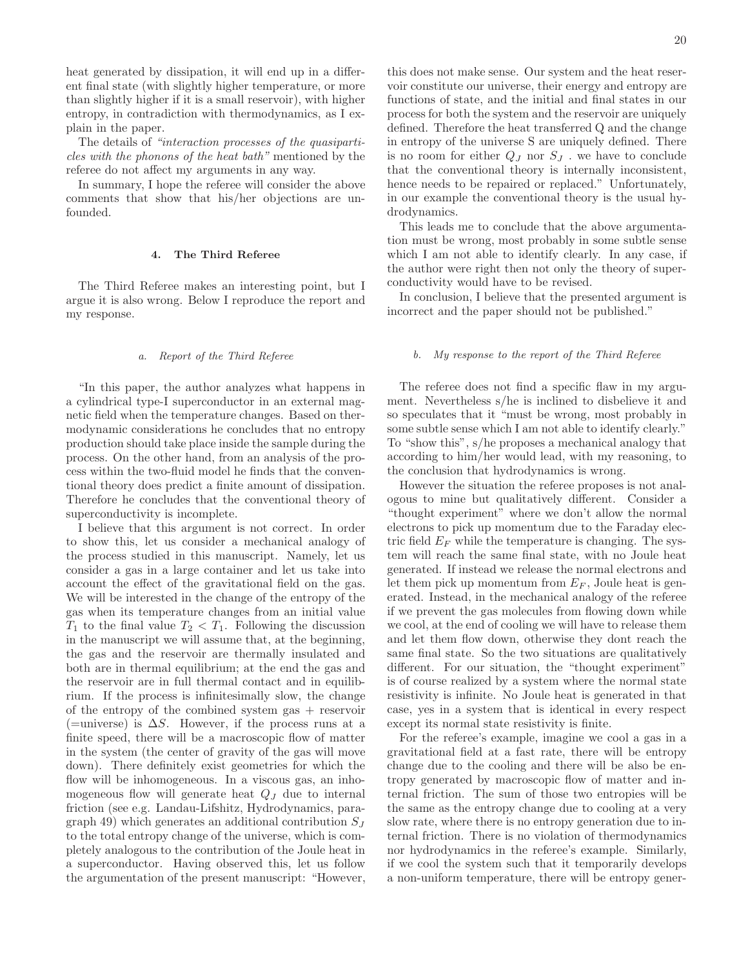heat generated by dissipation, it will end up in a different final state (with slightly higher temperature, or more than slightly higher if it is a small reservoir), with higher entropy, in contradiction with thermodynamics, as I explain in the paper.

The details of "interaction processes of the quasiparticles with the phonons of the heat bath" mentioned by the referee do not affect my arguments in any way.

In summary, I hope the referee will consider the above comments that show that his/her objections are unfounded.

# 4. The Third Referee

The Third Referee makes an interesting point, but I argue it is also wrong. Below I reproduce the report and my response.

### a. Report of the Third Referee

"In this paper, the author analyzes what happens in a cylindrical type-I superconductor in an external magnetic field when the temperature changes. Based on thermodynamic considerations he concludes that no entropy production should take place inside the sample during the process. On the other hand, from an analysis of the process within the two-fluid model he finds that the conventional theory does predict a finite amount of dissipation. Therefore he concludes that the conventional theory of superconductivity is incomplete.

I believe that this argument is not correct. In order to show this, let us consider a mechanical analogy of the process studied in this manuscript. Namely, let us consider a gas in a large container and let us take into account the effect of the gravitational field on the gas. We will be interested in the change of the entropy of the gas when its temperature changes from an initial value  $T_1$  to the final value  $T_2 < T_1$ . Following the discussion in the manuscript we will assume that, at the beginning, the gas and the reservoir are thermally insulated and both are in thermal equilibrium; at the end the gas and the reservoir are in full thermal contact and in equilibrium. If the process is infinitesimally slow, the change of the entropy of the combined system gas + reservoir (=universe) is  $\Delta S$ . However, if the process runs at a finite speed, there will be a macroscopic flow of matter in the system (the center of gravity of the gas will move down). There definitely exist geometries for which the flow will be inhomogeneous. In a viscous gas, an inhomogeneous flow will generate heat  $Q_J$  due to internal friction (see e.g. Landau-Lifshitz, Hydrodynamics, paragraph 49) which generates an additional contribution  $S_J$ to the total entropy change of the universe, which is completely analogous to the contribution of the Joule heat in a superconductor. Having observed this, let us follow the argumentation of the present manuscript: "However,

this does not make sense. Our system and the heat reservoir constitute our universe, their energy and entropy are functions of state, and the initial and final states in our process for both the system and the reservoir are uniquely defined. Therefore the heat transferred Q and the change in entropy of the universe S are uniquely defined. There is no room for either  $Q_J$  nor  $S_J$ . we have to conclude that the conventional theory is internally inconsistent, hence needs to be repaired or replaced." Unfortunately, in our example the conventional theory is the usual hydrodynamics.

This leads me to conclude that the above argumentation must be wrong, most probably in some subtle sense which I am not able to identify clearly. In any case, if the author were right then not only the theory of superconductivity would have to be revised.

In conclusion, I believe that the presented argument is incorrect and the paper should not be published."

# b. My response to the report of the Third Referee

The referee does not find a specific flaw in my argument. Nevertheless s/he is inclined to disbelieve it and so speculates that it "must be wrong, most probably in some subtle sense which I am not able to identify clearly." To "show this", s/he proposes a mechanical analogy that according to him/her would lead, with my reasoning, to the conclusion that hydrodynamics is wrong.

However the situation the referee proposes is not analogous to mine but qualitatively different. Consider a "thought experiment" where we don't allow the normal electrons to pick up momentum due to the Faraday electric field  $E_F$  while the temperature is changing. The system will reach the same final state, with no Joule heat generated. If instead we release the normal electrons and let them pick up momentum from  $E_F$ , Joule heat is generated. Instead, in the mechanical analogy of the referee if we prevent the gas molecules from flowing down while we cool, at the end of cooling we will have to release them and let them flow down, otherwise they dont reach the same final state. So the two situations are qualitatively different. For our situation, the "thought experiment" is of course realized by a system where the normal state resistivity is infinite. No Joule heat is generated in that case, yes in a system that is identical in every respect except its normal state resistivity is finite.

For the referee's example, imagine we cool a gas in a gravitational field at a fast rate, there will be entropy change due to the cooling and there will be also be entropy generated by macroscopic flow of matter and internal friction. The sum of those two entropies will be the same as the entropy change due to cooling at a very slow rate, where there is no entropy generation due to internal friction. There is no violation of thermodynamics nor hydrodynamics in the referee's example. Similarly, if we cool the system such that it temporarily develops a non-uniform temperature, there will be entropy gener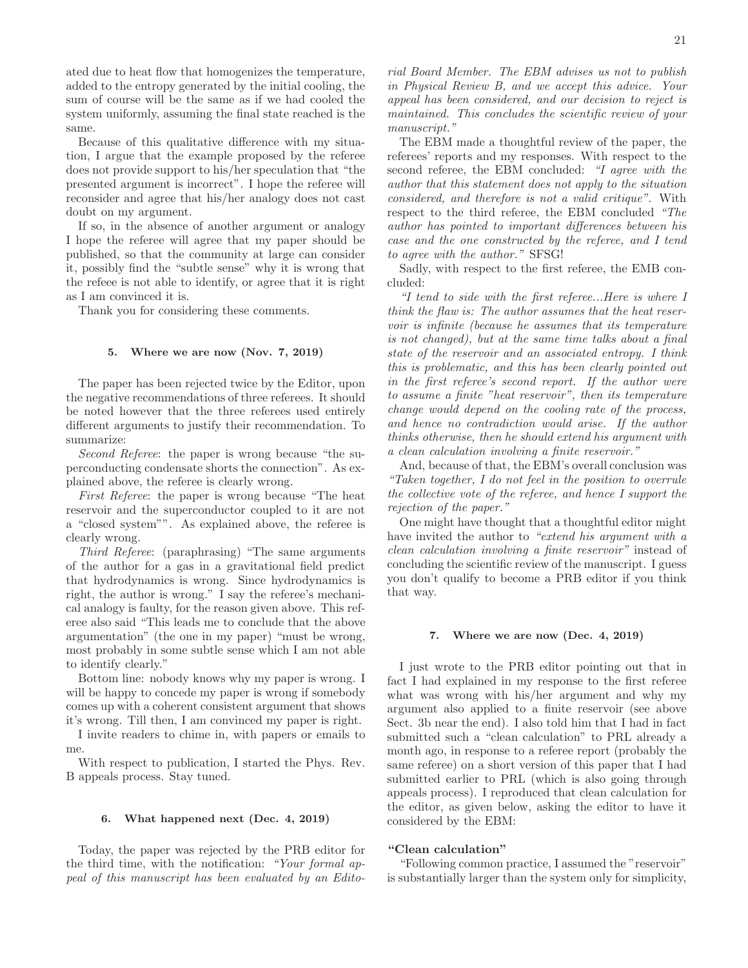ated due to heat flow that homogenizes the temperature, added to the entropy generated by the initial cooling, the sum of course will be the same as if we had cooled the system uniformly, assuming the final state reached is the same.

Because of this qualitative difference with my situation, I argue that the example proposed by the referee does not provide support to his/her speculation that "the presented argument is incorrect". I hope the referee will reconsider and agree that his/her analogy does not cast doubt on my argument.

If so, in the absence of another argument or analogy I hope the referee will agree that my paper should be published, so that the community at large can consider it, possibly find the "subtle sense" why it is wrong that the refeee is not able to identify, or agree that it is right as I am convinced it is.

Thank you for considering these comments.

### 5. Where we are now (Nov. 7, 2019)

The paper has been rejected twice by the Editor, upon the negative recommendations of three referees. It should be noted however that the three referees used entirely different arguments to justify their recommendation. To summarize:

Second Referee: the paper is wrong because "the superconducting condensate shorts the connection". As explained above, the referee is clearly wrong.

First Referee: the paper is wrong because "The heat reservoir and the superconductor coupled to it are not a "closed system"". As explained above, the referee is clearly wrong.

Third Referee: (paraphrasing) "The same arguments of the author for a gas in a gravitational field predict that hydrodynamics is wrong. Since hydrodynamics is right, the author is wrong." I say the referee's mechanical analogy is faulty, for the reason given above. This referee also said "This leads me to conclude that the above argumentation" (the one in my paper) "must be wrong, most probably in some subtle sense which I am not able to identify clearly."

Bottom line: nobody knows why my paper is wrong. I will be happy to concede my paper is wrong if somebody comes up with a coherent consistent argument that shows it's wrong. Till then, I am convinced my paper is right.

I invite readers to chime in, with papers or emails to me.

With respect to publication, I started the Phys. Rev. B appeals process. Stay tuned.

#### 6. What happened next (Dec. 4, 2019)

Today, the paper was rejected by the PRB editor for the third time, with the notification: "Your formal appeal of this manuscript has been evaluated by an Editorial Board Member. The EBM advises us not to publish in Physical Review B, and we accept this advice. Your appeal has been considered, and our decision to reject is maintained. This concludes the scientific review of your manuscript."

The EBM made a thoughtful review of the paper, the referees' reports and my responses. With respect to the second referee, the EBM concluded: "I agree with the author that this statement does not apply to the situation considered, and therefore is not a valid critique". With respect to the third referee, the EBM concluded "The author has pointed to important differences between his case and the one constructed by the referee, and I tend to agree with the author." SFSG!

Sadly, with respect to the first referee, the EMB concluded:

"I tend to side with the first referee...Here is where I think the flaw is: The author assumes that the heat reservoir is infinite (because he assumes that its temperature is not changed), but at the same time talks about a final state of the reservoir and an associated entropy. I think this is problematic, and this has been clearly pointed out in the first referee's second report. If the author were to assume a finite "heat reservoir", then its temperature change would depend on the cooling rate of the process, and hence no contradiction would arise. If the author thinks otherwise, then he should extend his argument with a clean calculation involving a finite reservoir."

And, because of that, the EBM's overall conclusion was "Taken together, I do not feel in the position to overrule the collective vote of the referee, and hence I support the rejection of the paper."

One might have thought that a thoughtful editor might have invited the author to "extend his argument with a clean calculation involving a finite reservoir" instead of concluding the scientific review of the manuscript. I guess you don't qualify to become a PRB editor if you think that way.

#### 7. Where we are now (Dec. 4, 2019)

I just wrote to the PRB editor pointing out that in fact I had explained in my response to the first referee what was wrong with his/her argument and why my argument also applied to a finite reservoir (see above Sect. 3b near the end). I also told him that I had in fact submitted such a "clean calculation" to PRL already a month ago, in response to a referee report (probably the same referee) on a short version of this paper that I had submitted earlier to PRL (which is also going through appeals process). I reproduced that clean calculation for the editor, as given below, asking the editor to have it considered by the EBM:

## "Clean calculation"

"Following common practice, I assumed the "reservoir" is substantially larger than the system only for simplicity,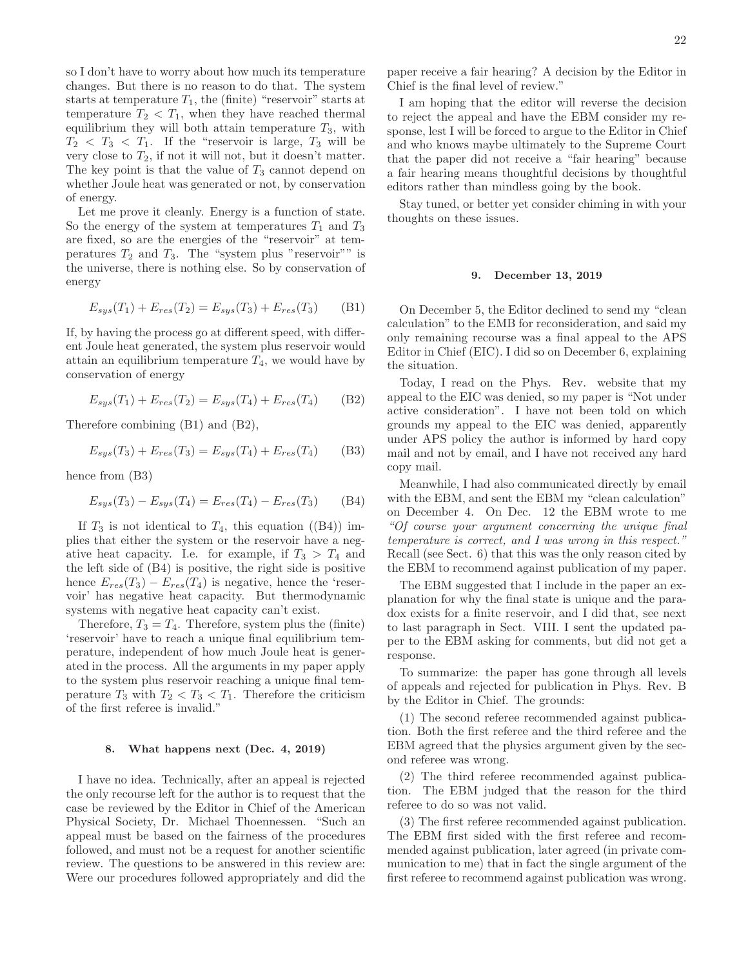so I don't have to worry about how much its temperature changes. But there is no reason to do that. The system starts at temperature  $T_1$ , the (finite) "reservoir" starts at temperature  $T_2 < T_1$ , when they have reached thermal equilibrium they will both attain temperature  $T_3$ , with  $T_2 < T_3 < T_1$ . If the "reservoir is large,  $T_3$  will be very close to  $T_2$ , if not it will not, but it doesn't matter. The key point is that the value of  $T_3$  cannot depend on whether Joule heat was generated or not, by conservation of energy.

Let me prove it cleanly. Energy is a function of state. So the energy of the system at temperatures  $T_1$  and  $T_3$ are fixed, so are the energies of the "reservoir" at temperatures  $T_2$  and  $T_3$ . The "system plus "reservoir"" is the universe, there is nothing else. So by conservation of energy

$$
E_{sys}(T_1) + E_{res}(T_2) = E_{sys}(T_3) + E_{res}(T_3)
$$
 (B1)

If, by having the process go at different speed, with different Joule heat generated, the system plus reservoir would attain an equilibrium temperature  $T_4$ , we would have by conservation of energy

$$
E_{sys}(T_1) + E_{res}(T_2) = E_{sys}(T_4) + E_{res}(T_4)
$$
 (B2)

Therefore combining (B1) and (B2),

$$
E_{sys}(T_3) + E_{res}(T_3) = E_{sys}(T_4) + E_{res}(T_4)
$$
 (B3)

hence from (B3)

$$
E_{sys}(T_3) - E_{sys}(T_4) = E_{res}(T_4) - E_{res}(T_3)
$$
 (B4)

If  $T_3$  is not identical to  $T_4$ , this equation ((B4)) implies that either the system or the reservoir have a negative heat capacity. I.e. for example, if  $T_3 > T_4$  and the left side of (B4) is positive, the right side is positive hence  $E_{res}(T_3) - E_{res}(T_4)$  is negative, hence the 'reservoir' has negative heat capacity. But thermodynamic systems with negative heat capacity can't exist.

Therefore,  $T_3 = T_4$ . Therefore, system plus the (finite) 'reservoir' have to reach a unique final equilibrium temperature, independent of how much Joule heat is generated in the process. All the arguments in my paper apply to the system plus reservoir reaching a unique final temperature  $T_3$  with  $T_2 < T_3 < T_1$ . Therefore the criticism of the first referee is invalid."

### 8. What happens next (Dec. 4, 2019)

I have no idea. Technically, after an appeal is rejected the only recourse left for the author is to request that the case be reviewed by the Editor in Chief of the American Physical Society, Dr. Michael Thoennessen. "Such an appeal must be based on the fairness of the procedures followed, and must not be a request for another scientific review. The questions to be answered in this review are: Were our procedures followed appropriately and did the

paper receive a fair hearing? A decision by the Editor in Chief is the final level of review."

I am hoping that the editor will reverse the decision to reject the appeal and have the EBM consider my response, lest I will be forced to argue to the Editor in Chief and who knows maybe ultimately to the Supreme Court that the paper did not receive a "fair hearing" because a fair hearing means thoughtful decisions by thoughtful editors rather than mindless going by the book.

Stay tuned, or better yet consider chiming in with your thoughts on these issues.

## 9. December 13, 2019

On December 5, the Editor declined to send my "clean calculation" to the EMB for reconsideration, and said my only remaining recourse was a final appeal to the APS Editor in Chief (EIC). I did so on December 6, explaining the situation.

Today, I read on the Phys. Rev. website that my appeal to the EIC was denied, so my paper is "Not under active consideration". I have not been told on which grounds my appeal to the EIC was denied, apparently under APS policy the author is informed by hard copy mail and not by email, and I have not received any hard copy mail.

Meanwhile, I had also communicated directly by email with the EBM, and sent the EBM my "clean calculation" on December 4. On Dec. 12 the EBM wrote to me "Of course your argument concerning the unique final temperature is correct, and I was wrong in this respect." Recall (see Sect. 6) that this was the only reason cited by the EBM to recommend against publication of my paper.

The EBM suggested that I include in the paper an explanation for why the final state is unique and the paradox exists for a finite reservoir, and I did that, see next to last paragraph in Sect. VIII. I sent the updated paper to the EBM asking for comments, but did not get a response.

To summarize: the paper has gone through all levels of appeals and rejected for publication in Phys. Rev. B by the Editor in Chief. The grounds:

(1) The second referee recommended against publication. Both the first referee and the third referee and the EBM agreed that the physics argument given by the second referee was wrong.

(2) The third referee recommended against publication. The EBM judged that the reason for the third referee to do so was not valid.

(3) The first referee recommended against publication. The EBM first sided with the first referee and recommended against publication, later agreed (in private communication to me) that in fact the single argument of the first referee to recommend against publication was wrong.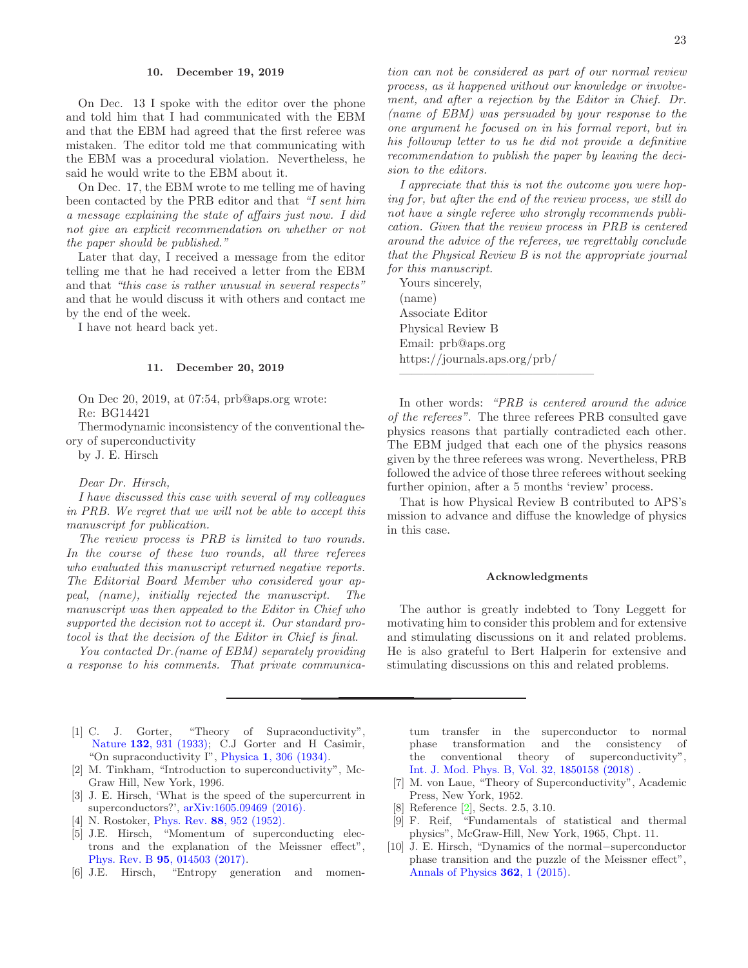### 10. December 19, 2019

On Dec. 13 I spoke with the editor over the phone and told him that I had communicated with the EBM and that the EBM had agreed that the first referee was mistaken. The editor told me that communicating with the EBM was a procedural violation. Nevertheless, he said he would write to the EBM about it.

On Dec. 17, the EBM wrote to me telling me of having been contacted by the PRB editor and that "I sent him a message explaining the state of affairs just now. I did not give an explicit recommendation on whether or not the paper should be published."

Later that day, I received a message from the editor telling me that he had received a letter from the EBM and that "this case is rather unusual in several respects" and that he would discuss it with others and contact me by the end of the week.

I have not heard back yet.

### 11. December 20, 2019

On Dec 20, 2019, at 07:54, prb@aps.org wrote: Re: BG14421

Thermodynamic inconsistency of the conventional theory of superconductivity

by J. E. Hirsch

# Dear Dr. Hirsch,

I have discussed this case with several of my colleagues in PRB. We regret that we will not be able to accept this manuscript for publication.

The review process is PRB is limited to two rounds. In the course of these two rounds, all three referees who evaluated this manuscript returned negative reports. The Editorial Board Member who considered your appeal, (name), initially rejected the manuscript. The manuscript was then appealed to the Editor in Chief who supported the decision not to accept it. Our standard protocol is that the decision of the Editor in Chief is final.

You contacted Dr.(name of EBM) separately providing a response to his comments. That private communica-

- <span id="page-22-0"></span>[1] C. J. Gorter, "Theory of Supraconductivity", Nature 132[, 931 \(1933\);](http://www.nature.com/nature/journal/v132/n3346/abs/132931b0.html) C.J Gorter and H Casimir, "On supraconductivity I", Physica 1[, 306 \(1934\).](http://www.sciencedirect.com/science/article/pii/S0031891434900379)
- <span id="page-22-1"></span>[2] M. Tinkham, "Introduction to superconductivity", Mc-Graw Hill, New York, 1996.
- <span id="page-22-2"></span>[3] J. E. Hirsch, 'What is the speed of the supercurrent in superconductors?', [arXiv:1605.09469 \(2016\).](http://arxiv.org/abs/1605.09469)
- <span id="page-22-3"></span>[4] N. Rostoker, *Phys. Rev.* **88**[, 952 \(1952\).](http://journals.aps.org/pr/abstract/10.1103/PhysRev.88.952)
- <span id="page-22-4"></span>[5] J.E. Hirsch, "Momentum of superconducting electrons and the explanation of the Meissner effect", Phys. Rev. B 95[, 014503 \(2017\).](http://journals.aps.org/prb/abstract/10.1103/PhysRevB.95.014503)
- <span id="page-22-5"></span>[6] J.E. Hirsch, "Entropy generation and momen-

tion can not be considered as part of our normal review process, as it happened without our knowledge or involvement, and after a rejection by the Editor in Chief. Dr. (name of EBM) was persuaded by your response to the one argument he focused on in his formal report, but in his followup letter to us he did not provide a definitive recommendation to publish the paper by leaving the decision to the editors.

I appreciate that this is not the outcome you were hoping for, but after the end of the review process, we still do not have a single referee who strongly recommends publication. Given that the review process in PRB is centered around the advice of the referees, we regrettably conclude that the Physical Review B is not the appropriate journal for this manuscript.

Yours sincerely, (name) Associate Editor Physical Review B Email: prb@aps.org https://journals.aps.org/prb/

 $\frac{1}{\sqrt{2}}$  , and the contract of  $\frac{1}{\sqrt{2}}$  , and  $\frac{1}{\sqrt{2}}$  , and  $\frac{1}{\sqrt{2}}$  , and  $\frac{1}{\sqrt{2}}$  , and  $\frac{1}{\sqrt{2}}$ 

In other words: "PRB is centered around the advice of the referees". The three referees PRB consulted gave physics reasons that partially contradicted each other. The EBM judged that each one of the physics reasons given by the three referees was wrong. Nevertheless, PRB followed the advice of those three referees without seeking further opinion, after a 5 months 'review' process.

That is how Physical Review B contributed to APS's mission to advance and diffuse the knowledge of physics in this case.

## Acknowledgments

The author is greatly indebted to Tony Leggett for motivating him to consider this problem and for extensive and stimulating discussions on it and related problems. He is also grateful to Bert Halperin for extensive and stimulating discussions on this and related problems.

tum transfer in the superconductor to normal phase transformation and the consistency of the conventional theory of superconductivity", [Int. J. Mod. Phys. B, Vol. 32, 1850158 \(2018\)](https://www.worldscientific.com/doi/10.1142/s0217979218501588) .

- <span id="page-22-6"></span>[7] M. von Laue, "Theory of Superconductivity", Academic Press, New York, 1952.
- <span id="page-22-7"></span>[8] Reference [\[2](#page-22-1)], Sects. 2.5, 3.10.
- <span id="page-22-8"></span>[9] F. Reif, "Fundamentals of statistical and thermal physics", McGraw-Hill, New York, 1965, Chpt. 11.
- <span id="page-22-9"></span>[10] J. E. Hirsch, "Dynamics of the normal−superconductor phase transition and the puzzle of the Meissner effect", [Annals of Physics](http://www.sciencedirect.com/science/article/pii/S0003491615002882) 362, 1 (2015).